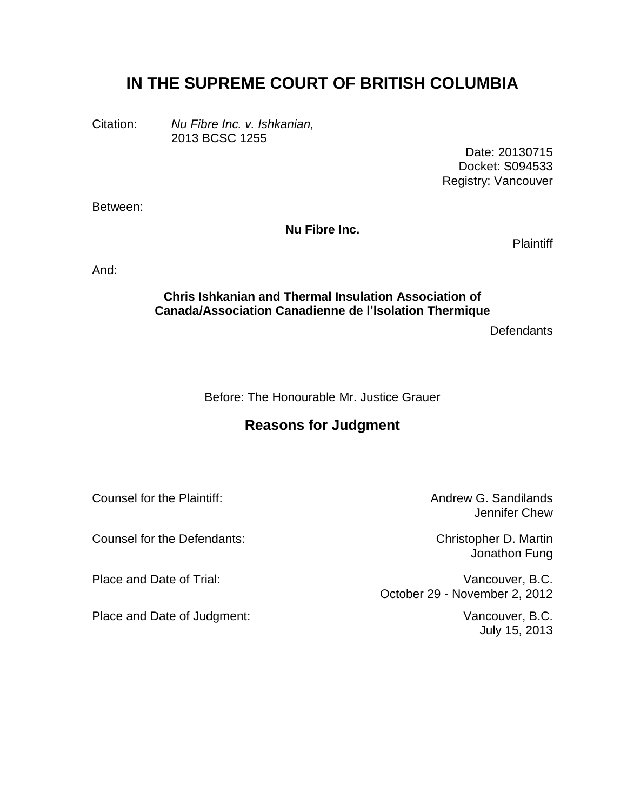# **IN THE SUPREME COURT OF BRITISH COLUMBIA**

Citation: *Nu Fibre Inc. v. Ishkanian,* 2013 BCSC 1255

> Date: 20130715 Docket: S094533 Registry: Vancouver

Between:

**Nu Fibre Inc.**

**Plaintiff** 

And:

### **Chris Ishkanian and Thermal Insulation Association of Canada/Association Canadienne de l'Isolation Thermique**

**Defendants** 

Before: The Honourable Mr. Justice Grauer

# **Reasons for Judgment**

Counsel for the Plaintiff: Counsel for the Plaintiff: Andrew G. Sandilands

Counsel for the Defendants: Christopher D. Martin

Place and Date of Judgment: Vancouver, B.C.

Jennifer Chew

Jonathon Fung

Place and Date of Trial: **Vancouver, B.C.** October 29 - November 2, 2012

July 15, 2013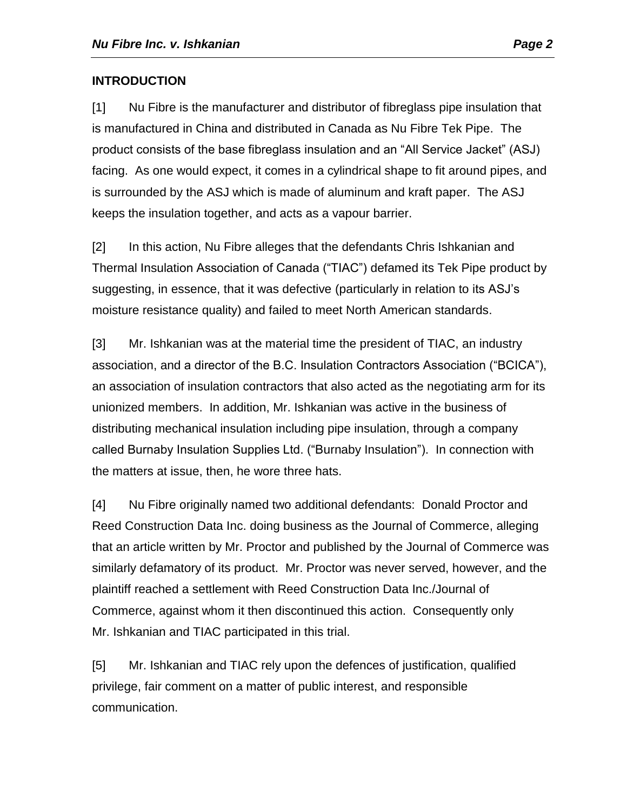# **INTRODUCTION**

[1] Nu Fibre is the manufacturer and distributor of fibreglass pipe insulation that is manufactured in China and distributed in Canada as Nu Fibre Tek Pipe. The product consists of the base fibreglass insulation and an "All Service Jacket" (ASJ) facing. As one would expect, it comes in a cylindrical shape to fit around pipes, and is surrounded by the ASJ which is made of aluminum and kraft paper. The ASJ keeps the insulation together, and acts as a vapour barrier.

[2] In this action, Nu Fibre alleges that the defendants Chris Ishkanian and Thermal Insulation Association of Canada ("TIAC") defamed its Tek Pipe product by suggesting, in essence, that it was defective (particularly in relation to its ASJ's moisture resistance quality) and failed to meet North American standards.

[3] Mr. Ishkanian was at the material time the president of TIAC, an industry association, and a director of the B.C. Insulation Contractors Association ("BCICA"), an association of insulation contractors that also acted as the negotiating arm for its unionized members. In addition, Mr. Ishkanian was active in the business of distributing mechanical insulation including pipe insulation, through a company called Burnaby Insulation Supplies Ltd. ("Burnaby Insulation"). In connection with the matters at issue, then, he wore three hats.

[4] Nu Fibre originally named two additional defendants: Donald Proctor and Reed Construction Data Inc. doing business as the Journal of Commerce, alleging that an article written by Mr. Proctor and published by the Journal of Commerce was similarly defamatory of its product. Mr. Proctor was never served, however, and the plaintiff reached a settlement with Reed Construction Data Inc./Journal of Commerce, against whom it then discontinued this action. Consequently only Mr. Ishkanian and TIAC participated in this trial.

[5] Mr. Ishkanian and TIAC rely upon the defences of justification, qualified privilege, fair comment on a matter of public interest, and responsible communication.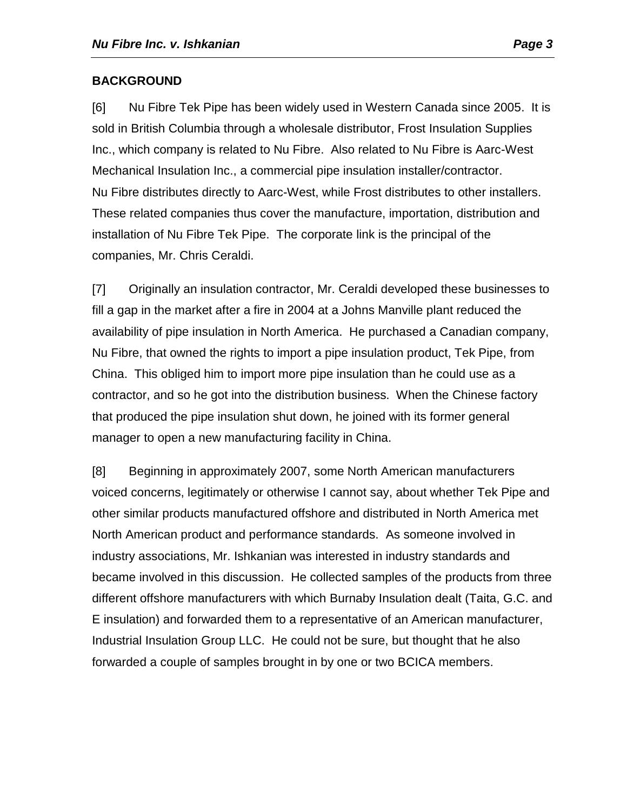# **BACKGROUND**

[6] Nu Fibre Tek Pipe has been widely used in Western Canada since 2005. It is sold in British Columbia through a wholesale distributor, Frost Insulation Supplies Inc., which company is related to Nu Fibre. Also related to Nu Fibre is Aarc-West Mechanical Insulation Inc., a commercial pipe insulation installer/contractor. Nu Fibre distributes directly to Aarc-West, while Frost distributes to other installers. These related companies thus cover the manufacture, importation, distribution and installation of Nu Fibre Tek Pipe. The corporate link is the principal of the companies, Mr. Chris Ceraldi.

[7] Originally an insulation contractor, Mr. Ceraldi developed these businesses to fill a gap in the market after a fire in 2004 at a Johns Manville plant reduced the availability of pipe insulation in North America. He purchased a Canadian company, Nu Fibre, that owned the rights to import a pipe insulation product, Tek Pipe, from China. This obliged him to import more pipe insulation than he could use as a contractor, and so he got into the distribution business. When the Chinese factory that produced the pipe insulation shut down, he joined with its former general manager to open a new manufacturing facility in China.

[8] Beginning in approximately 2007, some North American manufacturers voiced concerns, legitimately or otherwise I cannot say, about whether Tek Pipe and other similar products manufactured offshore and distributed in North America met North American product and performance standards. As someone involved in industry associations, Mr. Ishkanian was interested in industry standards and became involved in this discussion. He collected samples of the products from three different offshore manufacturers with which Burnaby Insulation dealt (Taita, G.C. and E insulation) and forwarded them to a representative of an American manufacturer, Industrial Insulation Group LLC. He could not be sure, but thought that he also forwarded a couple of samples brought in by one or two BCICA members.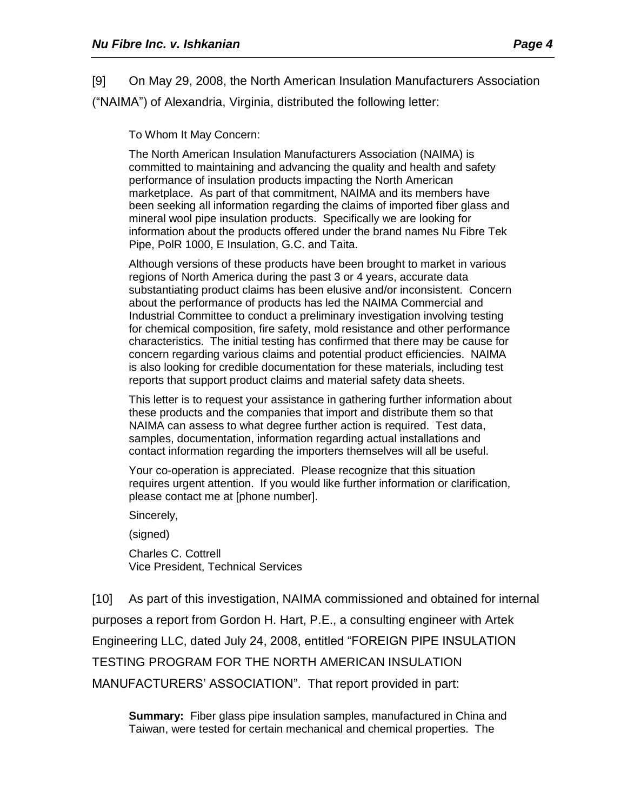[9] On May 29, 2008, the North American Insulation Manufacturers Association ("NAIMA") of Alexandria, Virginia, distributed the following letter:

To Whom It May Concern:

The North American Insulation Manufacturers Association (NAIMA) is committed to maintaining and advancing the quality and health and safety performance of insulation products impacting the North American marketplace. As part of that commitment, NAIMA and its members have been seeking all information regarding the claims of imported fiber glass and mineral wool pipe insulation products. Specifically we are looking for information about the products offered under the brand names Nu Fibre Tek Pipe, PolR 1000, E Insulation, G.C. and Taita.

Although versions of these products have been brought to market in various regions of North America during the past 3 or 4 years, accurate data substantiating product claims has been elusive and/or inconsistent. Concern about the performance of products has led the NAIMA Commercial and Industrial Committee to conduct a preliminary investigation involving testing for chemical composition, fire safety, mold resistance and other performance characteristics. The initial testing has confirmed that there may be cause for concern regarding various claims and potential product efficiencies. NAIMA is also looking for credible documentation for these materials, including test reports that support product claims and material safety data sheets.

This letter is to request your assistance in gathering further information about these products and the companies that import and distribute them so that NAIMA can assess to what degree further action is required. Test data, samples, documentation, information regarding actual installations and contact information regarding the importers themselves will all be useful.

Your co-operation is appreciated. Please recognize that this situation requires urgent attention. If you would like further information or clarification, please contact me at [phone number].

Sincerely,

(signed)

Charles C. Cottrell Vice President, Technical Services

[10] As part of this investigation, NAIMA commissioned and obtained for internal purposes a report from Gordon H. Hart, P.E., a consulting engineer with Artek Engineering LLC, dated July 24, 2008, entitled "FOREIGN PIPE INSULATION TESTING PROGRAM FOR THE NORTH AMERICAN INSULATION MANUFACTURERS' ASSOCIATION". That report provided in part:

**Summary:** Fiber glass pipe insulation samples, manufactured in China and Taiwan, were tested for certain mechanical and chemical properties. The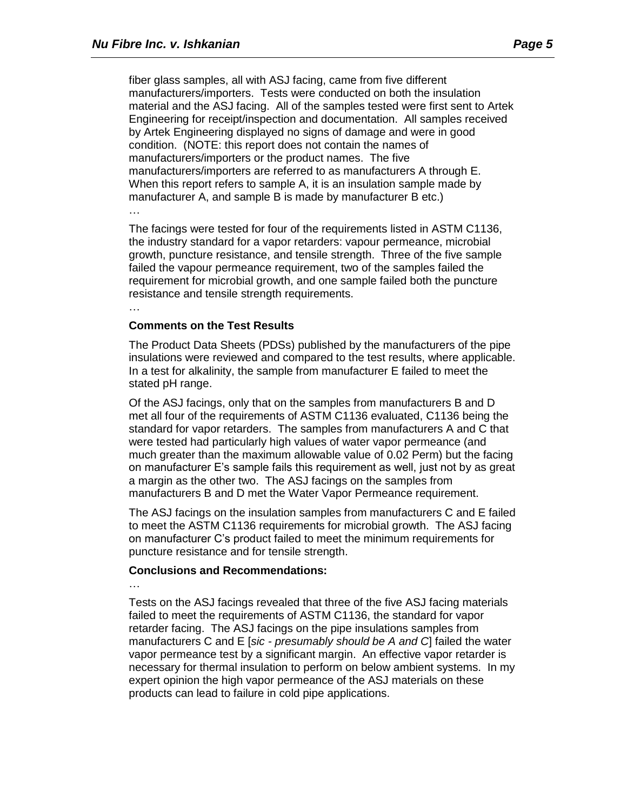fiber glass samples, all with ASJ facing, came from five different manufacturers/importers. Tests were conducted on both the insulation material and the ASJ facing. All of the samples tested were first sent to Artek Engineering for receipt/inspection and documentation. All samples received by Artek Engineering displayed no signs of damage and were in good condition. (NOTE: this report does not contain the names of manufacturers/importers or the product names. The five manufacturers/importers are referred to as manufacturers A through E. When this report refers to sample A, it is an insulation sample made by manufacturer A, and sample B is made by manufacturer B etc.)

The facings were tested for four of the requirements listed in ASTM C1136, the industry standard for a vapor retarders: vapour permeance, microbial growth, puncture resistance, and tensile strength. Three of the five sample failed the vapour permeance requirement, two of the samples failed the requirement for microbial growth, and one sample failed both the puncture resistance and tensile strength requirements.

…

…

#### **Comments on the Test Results**

The Product Data Sheets (PDSs) published by the manufacturers of the pipe insulations were reviewed and compared to the test results, where applicable. In a test for alkalinity, the sample from manufacturer E failed to meet the stated pH range.

Of the ASJ facings, only that on the samples from manufacturers B and D met all four of the requirements of ASTM C1136 evaluated, C1136 being the standard for vapor retarders. The samples from manufacturers A and C that were tested had particularly high values of water vapor permeance (and much greater than the maximum allowable value of 0.02 Perm) but the facing on manufacturer E's sample fails this requirement as well, just not by as great a margin as the other two. The ASJ facings on the samples from manufacturers B and D met the Water Vapor Permeance requirement.

The ASJ facings on the insulation samples from manufacturers C and E failed to meet the ASTM C1136 requirements for microbial growth. The ASJ facing on manufacturer C's product failed to meet the minimum requirements for puncture resistance and for tensile strength.

#### **Conclusions and Recommendations:**

…

Tests on the ASJ facings revealed that three of the five ASJ facing materials failed to meet the requirements of ASTM C1136, the standard for vapor retarder facing. The ASJ facings on the pipe insulations samples from manufacturers C and E [*sic - presumably should be A and C*] failed the water vapor permeance test by a significant margin. An effective vapor retarder is necessary for thermal insulation to perform on below ambient systems. In my expert opinion the high vapor permeance of the ASJ materials on these products can lead to failure in cold pipe applications.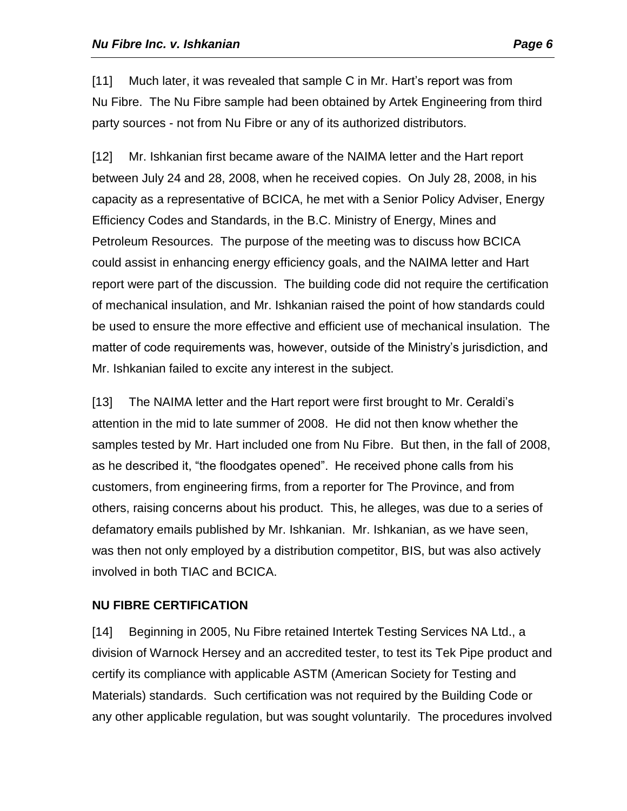[11] Much later, it was revealed that sample C in Mr. Hart's report was from Nu Fibre. The Nu Fibre sample had been obtained by Artek Engineering from third party sources - not from Nu Fibre or any of its authorized distributors.

[12] Mr. Ishkanian first became aware of the NAIMA letter and the Hart report between July 24 and 28, 2008, when he received copies. On July 28, 2008, in his capacity as a representative of BCICA, he met with a Senior Policy Adviser, Energy Efficiency Codes and Standards, in the B.C. Ministry of Energy, Mines and Petroleum Resources. The purpose of the meeting was to discuss how BCICA could assist in enhancing energy efficiency goals, and the NAIMA letter and Hart report were part of the discussion. The building code did not require the certification of mechanical insulation, and Mr. Ishkanian raised the point of how standards could be used to ensure the more effective and efficient use of mechanical insulation. The matter of code requirements was, however, outside of the Ministry's jurisdiction, and Mr. Ishkanian failed to excite any interest in the subject.

[13] The NAIMA letter and the Hart report were first brought to Mr. Ceraldi's attention in the mid to late summer of 2008. He did not then know whether the samples tested by Mr. Hart included one from Nu Fibre. But then, in the fall of 2008, as he described it, "the floodgates opened". He received phone calls from his customers, from engineering firms, from a reporter for The Province, and from others, raising concerns about his product. This, he alleges, was due to a series of defamatory emails published by Mr. Ishkanian. Mr. Ishkanian, as we have seen, was then not only employed by a distribution competitor, BIS, but was also actively involved in both TIAC and BCICA.

# **NU FIBRE CERTIFICATION**

[14] Beginning in 2005, Nu Fibre retained Intertek Testing Services NA Ltd., a division of Warnock Hersey and an accredited tester, to test its Tek Pipe product and certify its compliance with applicable ASTM (American Society for Testing and Materials) standards. Such certification was not required by the Building Code or any other applicable regulation, but was sought voluntarily. The procedures involved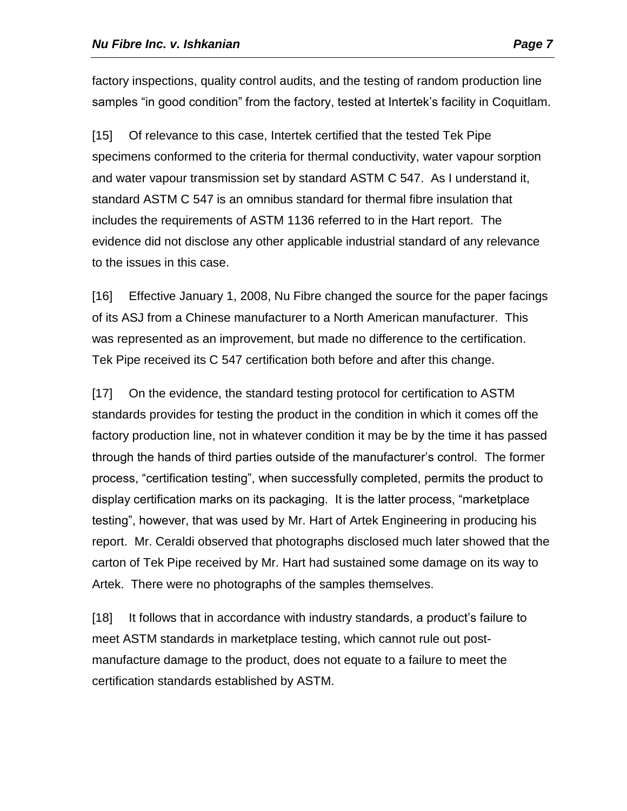factory inspections, quality control audits, and the testing of random production line samples "in good condition" from the factory, tested at Intertek's facility in Coquitlam.

[15] Of relevance to this case, Intertek certified that the tested Tek Pipe specimens conformed to the criteria for thermal conductivity, water vapour sorption and water vapour transmission set by standard ASTM C 547. As I understand it, standard ASTM C 547 is an omnibus standard for thermal fibre insulation that includes the requirements of ASTM 1136 referred to in the Hart report. The evidence did not disclose any other applicable industrial standard of any relevance to the issues in this case.

[16] Effective January 1, 2008, Nu Fibre changed the source for the paper facings of its ASJ from a Chinese manufacturer to a North American manufacturer. This was represented as an improvement, but made no difference to the certification. Tek Pipe received its C 547 certification both before and after this change.

[17] On the evidence, the standard testing protocol for certification to ASTM standards provides for testing the product in the condition in which it comes off the factory production line, not in whatever condition it may be by the time it has passed through the hands of third parties outside of the manufacturer's control. The former process, "certification testing", when successfully completed, permits the product to display certification marks on its packaging. It is the latter process, "marketplace testing", however, that was used by Mr. Hart of Artek Engineering in producing his report. Mr. Ceraldi observed that photographs disclosed much later showed that the carton of Tek Pipe received by Mr. Hart had sustained some damage on its way to Artek. There were no photographs of the samples themselves.

[18] It follows that in accordance with industry standards, a product's failure to meet ASTM standards in marketplace testing, which cannot rule out postmanufacture damage to the product, does not equate to a failure to meet the certification standards established by ASTM.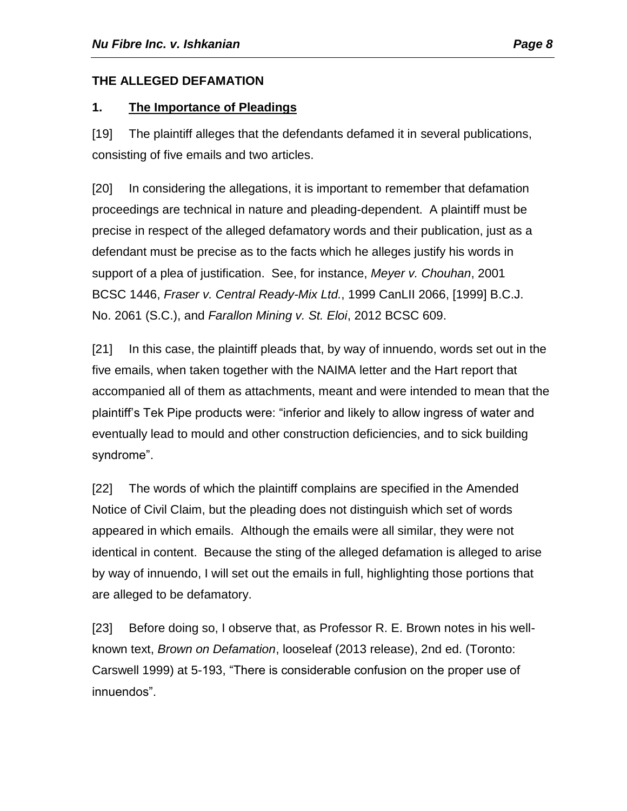# **THE ALLEGED DEFAMATION**

# **1. The Importance of Pleadings**

[19] The plaintiff alleges that the defendants defamed it in several publications, consisting of five emails and two articles.

[20] In considering the allegations, it is important to remember that defamation proceedings are technical in nature and pleading-dependent. A plaintiff must be precise in respect of the alleged defamatory words and their publication, just as a defendant must be precise as to the facts which he alleges justify his words in support of a plea of justification. See, for instance, *Meyer v. Chouhan*, 2001 BCSC 1446, *Fraser v. Central Ready-Mix Ltd.*, 1999 CanLII 2066, [1999] B.C.J. No. 2061 (S.C.), and *Farallon Mining v. St. Eloi*, 2012 BCSC 609.

[21] In this case, the plaintiff pleads that, by way of innuendo, words set out in the five emails, when taken together with the NAIMA letter and the Hart report that accompanied all of them as attachments, meant and were intended to mean that the plaintiff's Tek Pipe products were: "inferior and likely to allow ingress of water and eventually lead to mould and other construction deficiencies, and to sick building syndrome".

[22] The words of which the plaintiff complains are specified in the Amended Notice of Civil Claim, but the pleading does not distinguish which set of words appeared in which emails. Although the emails were all similar, they were not identical in content. Because the sting of the alleged defamation is alleged to arise by way of innuendo, I will set out the emails in full, highlighting those portions that are alleged to be defamatory.

[23] Before doing so, I observe that, as Professor R. E. Brown notes in his wellknown text, *Brown on Defamation*, looseleaf (2013 release), 2nd ed. (Toronto: Carswell 1999) at 5-193, "There is considerable confusion on the proper use of innuendos".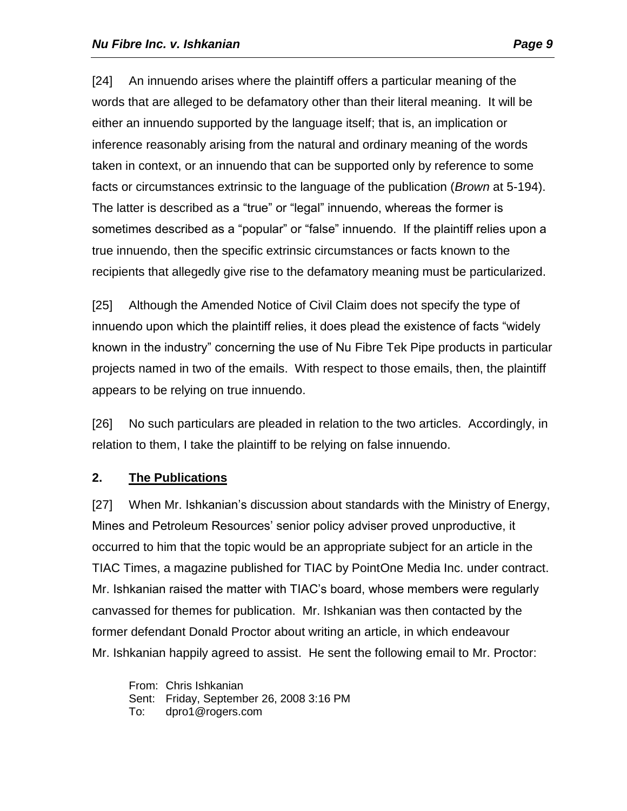[24] An innuendo arises where the plaintiff offers a particular meaning of the words that are alleged to be defamatory other than their literal meaning. It will be either an innuendo supported by the language itself; that is, an implication or inference reasonably arising from the natural and ordinary meaning of the words taken in context, or an innuendo that can be supported only by reference to some facts or circumstances extrinsic to the language of the publication (*Brown* at 5-194). The latter is described as a "true" or "legal" innuendo, whereas the former is sometimes described as a "popular" or "false" innuendo. If the plaintiff relies upon a true innuendo, then the specific extrinsic circumstances or facts known to the recipients that allegedly give rise to the defamatory meaning must be particularized.

[25] Although the Amended Notice of Civil Claim does not specify the type of innuendo upon which the plaintiff relies, it does plead the existence of facts "widely known in the industry" concerning the use of Nu Fibre Tek Pipe products in particular projects named in two of the emails. With respect to those emails, then, the plaintiff appears to be relying on true innuendo.

[26] No such particulars are pleaded in relation to the two articles. Accordingly, in relation to them, I take the plaintiff to be relying on false innuendo.

# **2. The Publications**

[27] When Mr. Ishkanian's discussion about standards with the Ministry of Energy, Mines and Petroleum Resources' senior policy adviser proved unproductive, it occurred to him that the topic would be an appropriate subject for an article in the TIAC Times, a magazine published for TIAC by PointOne Media Inc. under contract. Mr. Ishkanian raised the matter with TIAC's board, whose members were regularly canvassed for themes for publication. Mr. Ishkanian was then contacted by the former defendant Donald Proctor about writing an article, in which endeavour Mr. Ishkanian happily agreed to assist. He sent the following email to Mr. Proctor:

From: Chris Ishkanian Sent: Friday, September 26, 2008 3:16 PM To: dpro1@rogers.com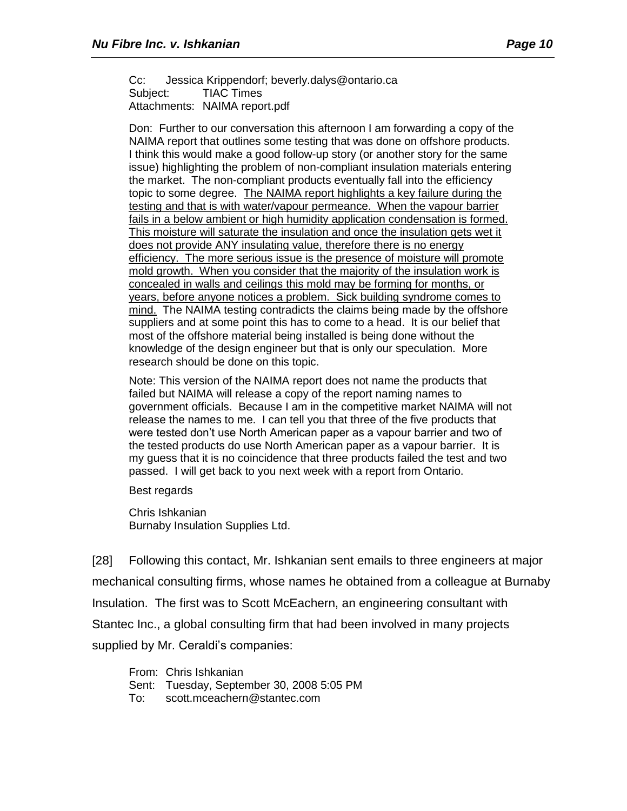Cc: Jessica Krippendorf; beverly.dalys@ontario.ca Subject: TIAC Times Attachments: NAIMA report.pdf

Don: Further to our conversation this afternoon I am forwarding a copy of the NAIMA report that outlines some testing that was done on offshore products. I think this would make a good follow-up story (or another story for the same issue) highlighting the problem of non-compliant insulation materials entering the market. The non-compliant products eventually fall into the efficiency topic to some degree. The NAIMA report highlights a key failure during the testing and that is with water/vapour permeance. When the vapour barrier fails in a below ambient or high humidity application condensation is formed. This moisture will saturate the insulation and once the insulation gets wet it does not provide ANY insulating value, therefore there is no energy efficiency. The more serious issue is the presence of moisture will promote mold growth. When you consider that the majority of the insulation work is concealed in walls and ceilings this mold may be forming for months, or years, before anyone notices a problem. Sick building syndrome comes to mind. The NAIMA testing contradicts the claims being made by the offshore suppliers and at some point this has to come to a head. It is our belief that most of the offshore material being installed is being done without the knowledge of the design engineer but that is only our speculation. More research should be done on this topic.

Note: This version of the NAIMA report does not name the products that failed but NAIMA will release a copy of the report naming names to government officials. Because I am in the competitive market NAIMA will not release the names to me. I can tell you that three of the five products that were tested don't use North American paper as a vapour barrier and two of the tested products do use North American paper as a vapour barrier. It is my guess that it is no coincidence that three products failed the test and two passed. I will get back to you next week with a report from Ontario.

Best regards

Chris Ishkanian Burnaby Insulation Supplies Ltd.

[28] Following this contact, Mr. Ishkanian sent emails to three engineers at major mechanical consulting firms, whose names he obtained from a colleague at Burnaby Insulation. The first was to Scott McEachern, an engineering consultant with Stantec Inc., a global consulting firm that had been involved in many projects supplied by Mr. Ceraldi's companies:

From: Chris Ishkanian Sent: Tuesday, September 30, 2008 5:05 PM To: scott.mceachern@stantec.com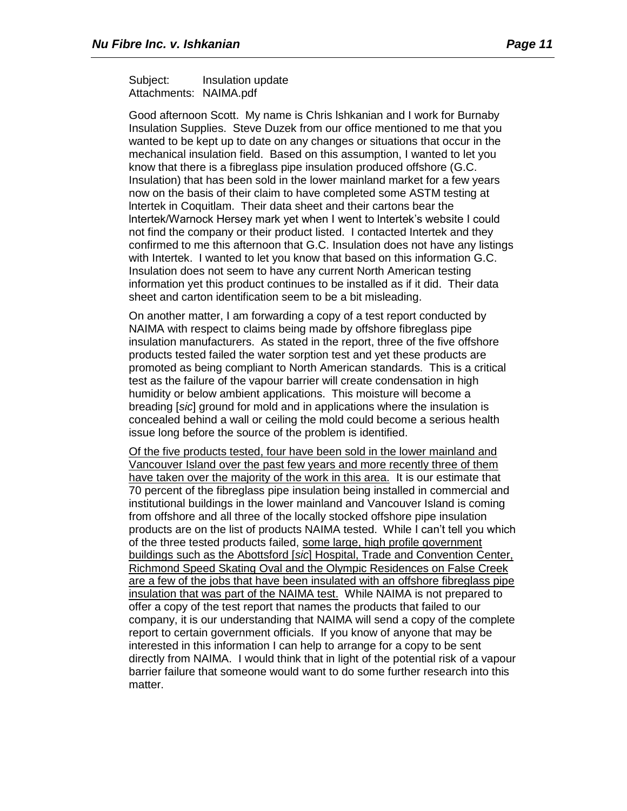Subject: Insulation update Attachments: NAIMA.pdf

Good afternoon Scott. My name is Chris lshkanian and I work for Burnaby Insulation Supplies. Steve Duzek from our office mentioned to me that you wanted to be kept up to date on any changes or situations that occur in the mechanical insulation field. Based on this assumption, I wanted to let you know that there is a fibreglass pipe insulation produced offshore (G.C. Insulation) that has been sold in the lower mainland market for a few years now on the basis of their claim to have completed some ASTM testing at lntertek in Coquitlam. Their data sheet and their cartons bear the lntertek/Warnock Hersey mark yet when I went to lntertek's website I could not find the company or their product listed. I contacted Intertek and they confirmed to me this afternoon that G.C. Insulation does not have any listings with Intertek. I wanted to let you know that based on this information G.C. Insulation does not seem to have any current North American testing information yet this product continues to be installed as if it did. Their data sheet and carton identification seem to be a bit misleading.

On another matter, I am forwarding a copy of a test report conducted by NAIMA with respect to claims being made by offshore fibreglass pipe insulation manufacturers. As stated in the report, three of the five offshore products tested failed the water sorption test and yet these products are promoted as being compliant to North American standards. This is a critical test as the failure of the vapour barrier will create condensation in high humidity or below ambient applications. This moisture will become a breading [*sic*] ground for mold and in applications where the insulation is concealed behind a wall or ceiling the mold could become a serious health issue long before the source of the problem is identified.

Of the five products tested, four have been sold in the lower mainland and Vancouver Island over the past few years and more recently three of them have taken over the majority of the work in this area. It is our estimate that 70 percent of the fibreglass pipe insulation being installed in commercial and institutional buildings in the lower mainland and Vancouver Island is coming from offshore and all three of the locally stocked offshore pipe insulation products are on the list of products NAIMA tested. While I can't tell you which of the three tested products failed, some large, high profile government buildings such as the Abottsford [*sic*] Hospital, Trade and Convention Center, Richmond Speed Skating Oval and the Olympic Residences on False Creek are a few of the jobs that have been insulated with an offshore fibreglass pipe insulation that was part of the NAIMA test. While NAIMA is not prepared to offer a copy of the test report that names the products that failed to our company, it is our understanding that NAIMA will send a copy of the complete report to certain government officials. If you know of anyone that may be interested in this information I can help to arrange for a copy to be sent directly from NAIMA. I would think that in light of the potential risk of a vapour barrier failure that someone would want to do some further research into this matter.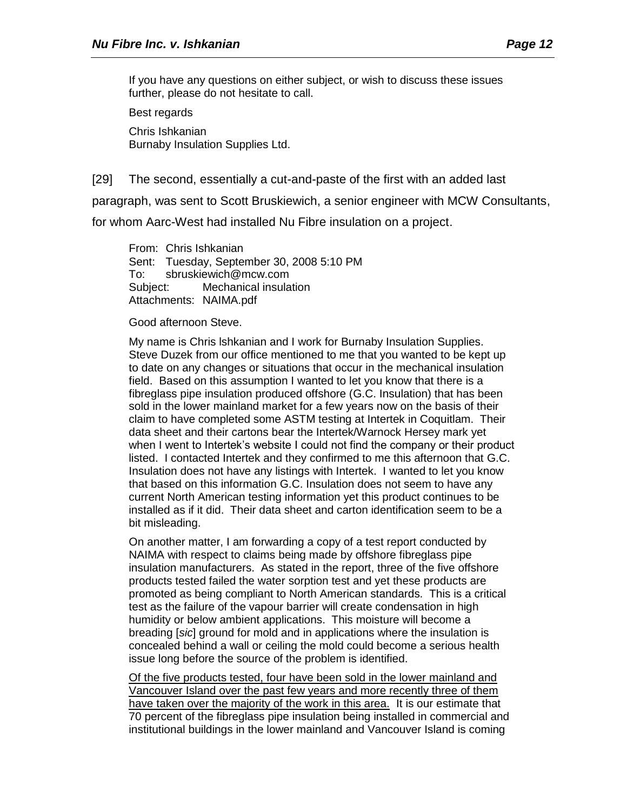If you have any questions on either subject, or wish to discuss these issues further, please do not hesitate to call.

Best regards

Chris Ishkanian Burnaby Insulation Supplies Ltd.

[29] The second, essentially a cut-and-paste of the first with an added last

paragraph, was sent to Scott Bruskiewich, a senior engineer with MCW Consultants, for whom Aarc-West had installed Nu Fibre insulation on a project.

From: Chris Ishkanian Sent: Tuesday, September 30, 2008 5:10 PM To: sbruskiewich@mcw.com Subject: Mechanical insulation Attachments: NAIMA.pdf

#### Good afternoon Steve.

My name is Chris lshkanian and I work for Burnaby Insulation Supplies. Steve Duzek from our office mentioned to me that you wanted to be kept up to date on any changes or situations that occur in the mechanical insulation field. Based on this assumption I wanted to let you know that there is a fibreglass pipe insulation produced offshore (G.C. Insulation) that has been sold in the lower mainland market for a few years now on the basis of their claim to have completed some ASTM testing at Intertek in Coquitlam. Their data sheet and their cartons bear the Intertek/Warnock Hersey mark yet when I went to Intertek's website I could not find the company or their product listed. I contacted Intertek and they confirmed to me this afternoon that G.C. Insulation does not have any listings with Intertek. I wanted to let you know that based on this information G.C. Insulation does not seem to have any current North American testing information yet this product continues to be installed as if it did. Their data sheet and carton identification seem to be a bit misleading.

On another matter, I am forwarding a copy of a test report conducted by NAIMA with respect to claims being made by offshore fibreglass pipe insulation manufacturers. As stated in the report, three of the five offshore products tested failed the water sorption test and yet these products are promoted as being compliant to North American standards. This is a critical test as the failure of the vapour barrier will create condensation in high humidity or below ambient applications. This moisture will become a breading [*sic*] ground for mold and in applications where the insulation is concealed behind a wall or ceiling the mold could become a serious health issue long before the source of the problem is identified.

Of the five products tested, four have been sold in the lower mainland and Vancouver Island over the past few years and more recently three of them have taken over the majority of the work in this area. It is our estimate that 70 percent of the fibreglass pipe insulation being installed in commercial and institutional buildings in the lower mainland and Vancouver Island is coming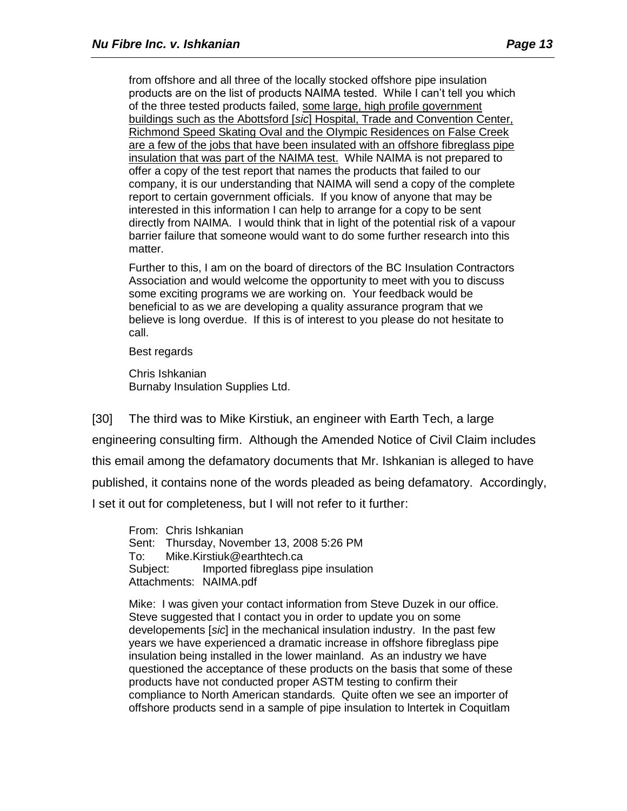from offshore and all three of the locally stocked offshore pipe insulation products are on the list of products NAIMA tested. While I can't tell you which of the three tested products failed, some large, high profile government buildings such as the Abottsford [*sic*] Hospital, Trade and Convention Center, Richmond Speed Skating Oval and the OIympic Residences on False Creek are a few of the jobs that have been insulated with an offshore fibreglass pipe insulation that was part of the NAIMA test. While NAIMA is not prepared to offer a copy of the test report that names the products that failed to our company, it is our understanding that NAIMA will send a copy of the complete report to certain government officials. If you know of anyone that may be interested in this information I can help to arrange for a copy to be sent directly from NAIMA. I would think that in light of the potential risk of a vapour barrier failure that someone would want to do some further research into this matter.

Further to this, I am on the board of directors of the BC Insulation Contractors Association and would welcome the opportunity to meet with you to discuss some exciting programs we are working on. Your feedback would be beneficial to as we are developing a quality assurance program that we believe is long overdue. If this is of interest to you please do not hesitate to call.

Best regards

Chris Ishkanian Burnaby Insulation Supplies Ltd.

[30] The third was to Mike Kirstiuk, an engineer with Earth Tech, a large engineering consulting firm. Although the Amended Notice of Civil Claim includes this email among the defamatory documents that Mr. Ishkanian is alleged to have published, it contains none of the words pleaded as being defamatory. Accordingly, I set it out for completeness, but I will not refer to it further:

From: Chris Ishkanian Sent: Thursday, November 13, 2008 5:26 PM To: Mike.Kirstiuk@earthtech.ca Subject: Imported fibreglass pipe insulation Attachments: NAIMA.pdf

Mike: I was given your contact information from Steve Duzek in our office. Steve suggested that I contact you in order to update you on some developements [*sic*] in the mechanical insulation industry. In the past few years we have experienced a dramatic increase in offshore fibreglass pipe insulation being installed in the lower mainland. As an industry we have questioned the acceptance of these products on the basis that some of these products have not conducted proper ASTM testing to confirm their compliance to North American standards. Quite often we see an importer of offshore products send in a sample of pipe insulation to lntertek in Coquitlam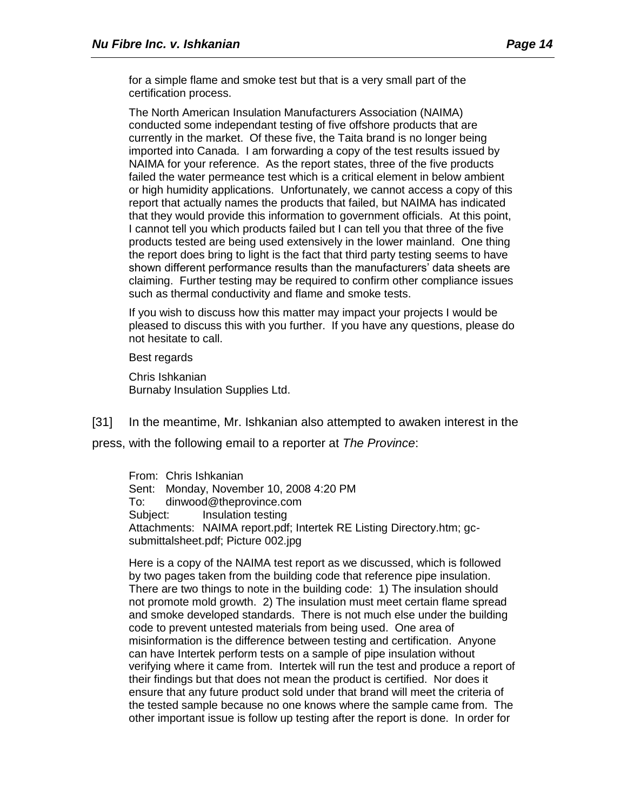for a simple flame and smoke test but that is a very small part of the certification process.

The North American Insulation Manufacturers Association (NAIMA) conducted some independant testing of five offshore products that are currently in the market. Of these five, the Taita brand is no longer being imported into Canada. I am forwarding a copy of the test results issued by NAIMA for your reference. As the report states, three of the five products failed the water permeance test which is a critical element in below ambient or high humidity applications. Unfortunately, we cannot access a copy of this report that actually names the products that failed, but NAIMA has indicated that they would provide this information to government officials. At this point, I cannot tell you which products failed but I can tell you that three of the five products tested are being used extensively in the lower mainland. One thing the report does bring to light is the fact that third party testing seems to have shown different performance results than the manufacturers' data sheets are claiming. Further testing may be required to confirm other compliance issues such as thermal conductivity and flame and smoke tests.

If you wish to discuss how this matter may impact your projects I would be pleased to discuss this with you further. If you have any questions, please do not hesitate to call.

Best regards

Chris Ishkanian Burnaby Insulation Supplies Ltd.

[31] In the meantime, Mr. Ishkanian also attempted to awaken interest in the press, with the following email to a reporter at *The Province*:

From: Chris Ishkanian Sent: Monday, November 10, 2008 4:20 PM To: dinwood@theprovince.com Subject: Insulation testing Attachments: NAIMA report.pdf; Intertek RE Listing Directory.htm; gcsubmittalsheet.pdf; Picture 002.jpg

Here is a copy of the NAIMA test report as we discussed, which is followed by two pages taken from the building code that reference pipe insulation. There are two things to note in the building code: 1) The insulation should not promote mold growth. 2) The insulation must meet certain flame spread and smoke developed standards. There is not much else under the building code to prevent untested materials from being used. One area of misinformation is the difference between testing and certification. Anyone can have Intertek perform tests on a sample of pipe insulation without verifying where it came from. Intertek will run the test and produce a report of their findings but that does not mean the product is certified. Nor does it ensure that any future product sold under that brand will meet the criteria of the tested sample because no one knows where the sample came from. The other important issue is follow up testing after the report is done. In order for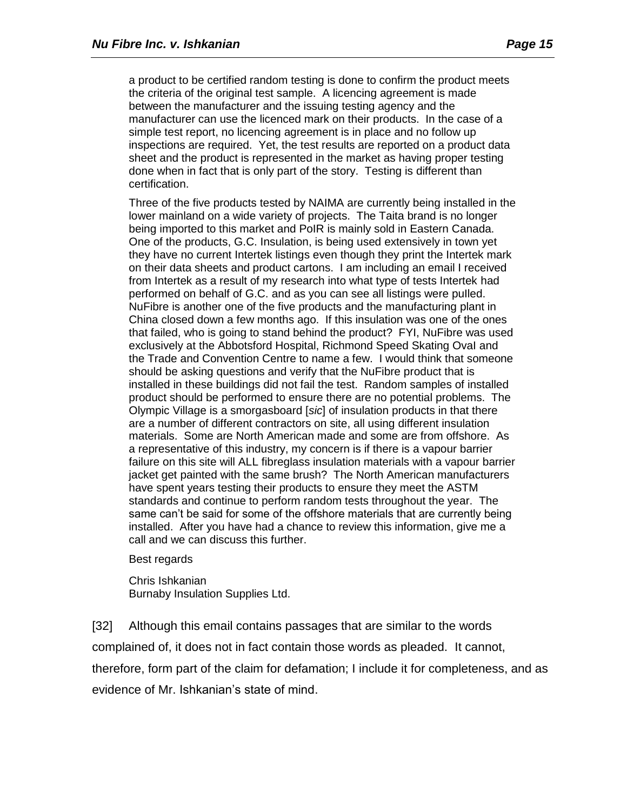a product to be certified random testing is done to confirm the product meets the criteria of the original test sample. A licencing agreement is made between the manufacturer and the issuing testing agency and the manufacturer can use the licenced mark on their products. In the case of a simple test report, no licencing agreement is in place and no follow up inspections are required. Yet, the test results are reported on a product data sheet and the product is represented in the market as having proper testing done when in fact that is only part of the story. Testing is different than certification.

Three of the five products tested by NAIMA are currently being installed in the lower mainland on a wide variety of projects. The Taita brand is no longer being imported to this market and PoIR is mainly sold in Eastern Canada. One of the products, G.C. Insulation, is being used extensively in town yet they have no current Intertek listings even though they print the Intertek mark on their data sheets and product cartons. I am including an email I received from Intertek as a result of my research into what type of tests Intertek had performed on behalf of G.C. and as you can see all listings were puIled. NuFibre is another one of the five products and the manufacturing plant in China closed down a few months ago. If this insulation was one of the ones that failed, who is going to stand behind the product? FYI, NuFibre was used exclusively at the Abbotsford Hospital, Richmond Speed Skating OvaI and the Trade and Convention Centre to name a few. I would think that someone should be asking questions and verify that the NuFibre product that is installed in these buildings did not fail the test. Random samples of installed product should be performed to ensure there are no potential problems. The Olympic Village is a smorgasboard [*sic*] of insulation products in that there are a number of different contractors on site, all using different insulation materials. Some are North American made and some are from offshore. As a representative of this industry, my concern is if there is a vapour barrier failure on this site will ALL fibreglass insulation materials with a vapour barrier jacket get painted with the same brush? The North American manufacturers have spent years testing their products to ensure they meet the ASTM standards and continue to perform random tests throughout the year. The same can't be said for some of the offshore materials that are currently being installed. After you have had a chance to review this information, give me a call and we can discuss this further.

#### Best regards

Chris Ishkanian Burnaby Insulation Supplies Ltd.

[32] Although this email contains passages that are similar to the words complained of, it does not in fact contain those words as pleaded. It cannot, therefore, form part of the claim for defamation; I include it for completeness, and as evidence of Mr. Ishkanian's state of mind.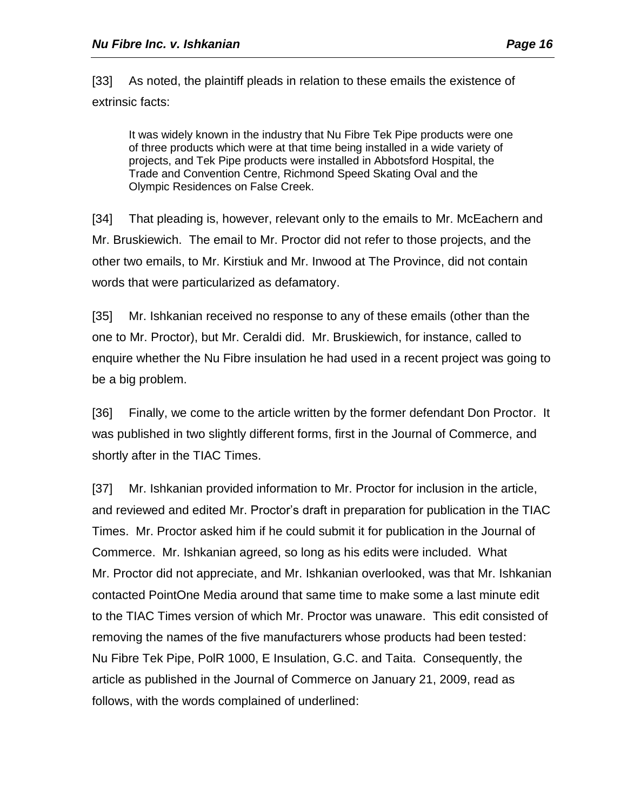[33] As noted, the plaintiff pleads in relation to these emails the existence of extrinsic facts:

It was widely known in the industry that Nu Fibre Tek Pipe products were one of three products which were at that time being installed in a wide variety of projects, and Tek Pipe products were installed in Abbotsford Hospital, the Trade and Convention Centre, Richmond Speed Skating Oval and the Olympic Residences on False Creek.

[34] That pleading is, however, relevant only to the emails to Mr. McEachern and Mr. Bruskiewich. The email to Mr. Proctor did not refer to those projects, and the other two emails, to Mr. Kirstiuk and Mr. Inwood at The Province, did not contain words that were particularized as defamatory.

[35] Mr. Ishkanian received no response to any of these emails (other than the one to Mr. Proctor), but Mr. Ceraldi did. Mr. Bruskiewich, for instance, called to enquire whether the Nu Fibre insulation he had used in a recent project was going to be a big problem.

[36] Finally, we come to the article written by the former defendant Don Proctor. It was published in two slightly different forms, first in the Journal of Commerce, and shortly after in the TIAC Times.

[37] Mr. Ishkanian provided information to Mr. Proctor for inclusion in the article, and reviewed and edited Mr. Proctor's draft in preparation for publication in the TIAC Times. Mr. Proctor asked him if he could submit it for publication in the Journal of Commerce. Mr. Ishkanian agreed, so long as his edits were included. What Mr. Proctor did not appreciate, and Mr. Ishkanian overlooked, was that Mr. Ishkanian contacted PointOne Media around that same time to make some a last minute edit to the TIAC Times version of which Mr. Proctor was unaware. This edit consisted of removing the names of the five manufacturers whose products had been tested: Nu Fibre Tek Pipe, PolR 1000, E Insulation, G.C. and Taita. Consequently, the article as published in the Journal of Commerce on January 21, 2009, read as follows, with the words complained of underlined: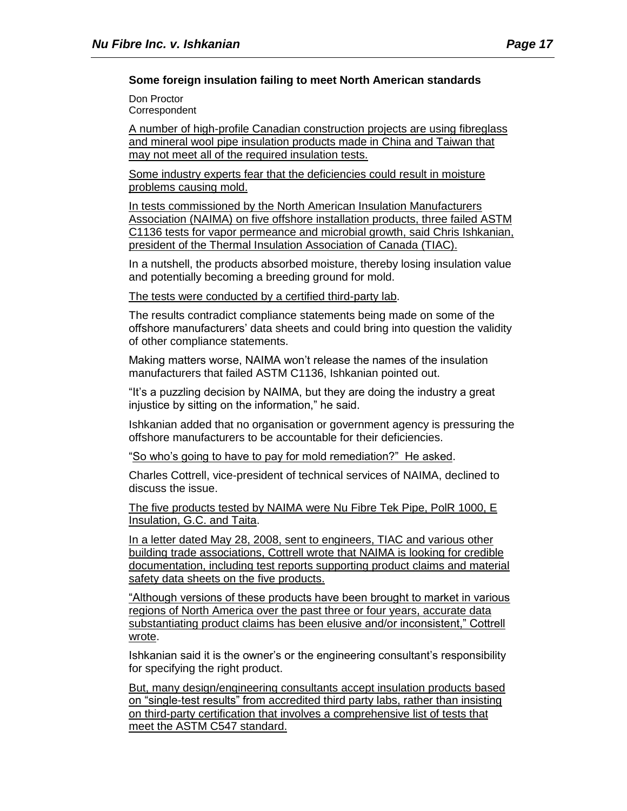Don Proctor **Correspondent** 

A number of high-profile Canadian construction projects are using fibreglass and mineral wool pipe insulation products made in China and Taiwan that may not meet all of the required insulation tests.

Some industry experts fear that the deficiencies could result in moisture problems causing mold.

In tests commissioned by the North American Insulation Manufacturers Association (NAIMA) on five offshore installation products, three failed ASTM C1136 tests for vapor permeance and microbial growth, said Chris Ishkanian, president of the Thermal Insulation Association of Canada (TIAC).

In a nutshell, the products absorbed moisture, thereby losing insulation value and potentially becoming a breeding ground for mold.

The tests were conducted by a certified third-party lab.

The results contradict compliance statements being made on some of the offshore manufacturers' data sheets and could bring into question the validity of other compliance statements.

Making matters worse, NAIMA won't release the names of the insulation manufacturers that failed ASTM C1136, Ishkanian pointed out.

"It's a puzzling decision by NAIMA, but they are doing the industry a great injustice by sitting on the information," he said.

Ishkanian added that no organisation or government agency is pressuring the offshore manufacturers to be accountable for their deficiencies.

"So who's going to have to pay for mold remediation?" He asked.

Charles Cottrell, vice-president of technical services of NAIMA, declined to discuss the issue.

The five products tested by NAIMA were Nu Fibre Tek Pipe, PolR 1000, E Insulation, G.C. and Taita.

In a letter dated May 28, 2008, sent to engineers, TIAC and various other building trade associations, Cottrell wrote that NAIMA is looking for credible documentation, including test reports supporting product claims and material safety data sheets on the five products.

"Although versions of these products have been brought to market in various regions of North America over the past three or four years, accurate data substantiating product claims has been elusive and/or inconsistent," Cottrell wrote.

Ishkanian said it is the owner's or the engineering consultant's responsibility for specifying the right product.

But, many design/engineering consultants accept insulation products based on "single-test results" from accredited third party labs, rather than insisting on third-party certification that involves a comprehensive list of tests that meet the ASTM C547 standard.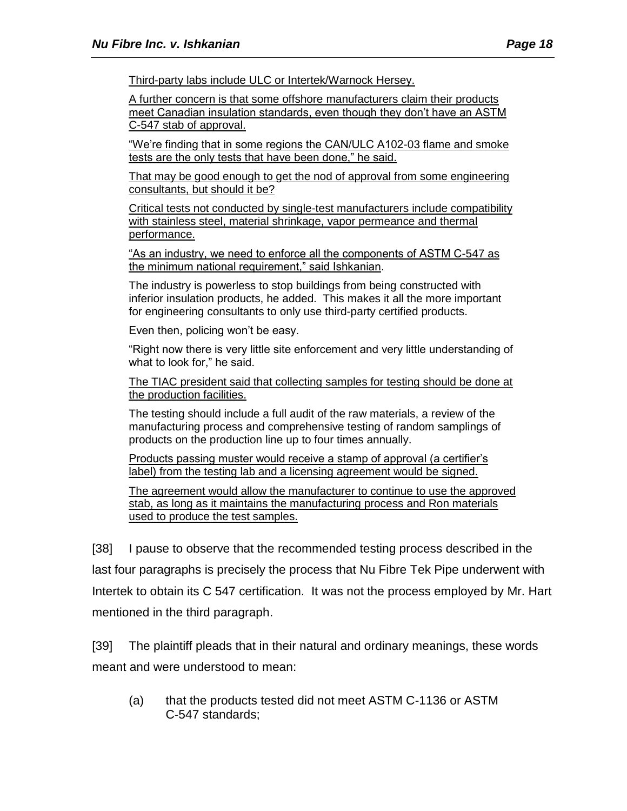Third-party labs include ULC or Intertek/Warnock Hersey.

A further concern is that some offshore manufacturers claim their products meet Canadian insulation standards, even though they don't have an ASTM C-547 stab of approval.

"We're finding that in some regions the CAN/ULC A102-03 flame and smoke tests are the only tests that have been done," he said.

That may be good enough to get the nod of approval from some engineering consultants, but should it be?

Critical tests not conducted by single-test manufacturers include compatibility with stainless steel, material shrinkage, vapor permeance and thermal performance.

"As an industry, we need to enforce all the components of ASTM C-547 as the minimum national requirement," said Ishkanian.

The industry is powerless to stop buildings from being constructed with inferior insulation products, he added. This makes it all the more important for engineering consultants to only use third-party certified products.

Even then, policing won't be easy.

"Right now there is very little site enforcement and very little understanding of what to look for," he said.

The TIAC president said that collecting samples for testing should be done at the production facilities.

The testing should include a full audit of the raw materials, a review of the manufacturing process and comprehensive testing of random samplings of products on the production line up to four times annually.

Products passing muster would receive a stamp of approval (a certifier's label) from the testing lab and a licensing agreement would be signed.

The agreement would allow the manufacturer to continue to use the approved stab, as long as it maintains the manufacturing process and Ron materials used to produce the test samples.

[38] I pause to observe that the recommended testing process described in the last four paragraphs is precisely the process that Nu Fibre Tek Pipe underwent with Intertek to obtain its C 547 certification. It was not the process employed by Mr. Hart mentioned in the third paragraph.

[39] The plaintiff pleads that in their natural and ordinary meanings, these words meant and were understood to mean:

(a) that the products tested did not meet ASTM C-1136 or ASTM C-547 standards;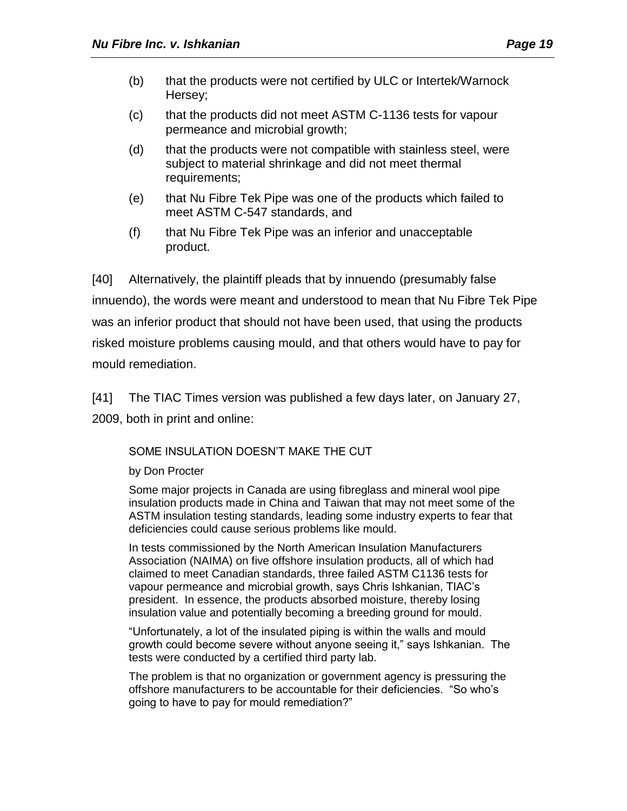- (b) that the products were not certified by ULC or Intertek/Warnock Hersey;
- (c) that the products did not meet ASTM C-1136 tests for vapour permeance and microbial growth;
- (d) that the products were not compatible with stainless steel, were subject to material shrinkage and did not meet thermal requirements;
- (e) that Nu Fibre Tek Pipe was one of the products which failed to meet ASTM C-547 standards, and
- (f) that Nu Fibre Tek Pipe was an inferior and unacceptable product.

[40] Alternatively, the plaintiff pleads that by innuendo (presumably false innuendo), the words were meant and understood to mean that Nu Fibre Tek Pipe was an inferior product that should not have been used, that using the products risked moisture problems causing mould, and that others would have to pay for mould remediation.

[41] The TIAC Times version was published a few days later, on January 27, 2009, both in print and online:

# SOME INSULATION DOESN'T MAKE THE CUT

by Don Procter

Some major projects in Canada are using fibreglass and mineral wool pipe insulation products made in China and Taiwan that may not meet some of the ASTM insulation testing standards, leading some industry experts to fear that deficiencies could cause serious problems like mould.

In tests commissioned by the North American Insulation Manufacturers Association (NAIMA) on five offshore insulation products, all of which had claimed to meet Canadian standards, three failed ASTM C1136 tests for vapour permeance and microbial growth, says Chris Ishkanian, TIAC's president. In essence, the products absorbed moisture, thereby losing insulation value and potentially becoming a breeding ground for mould.

"Unfortunately, a lot of the insulated piping is within the walls and mould growth could become severe without anyone seeing it," says Ishkanian. The tests were conducted by a certified third party lab.

The problem is that no organization or government agency is pressuring the offshore manufacturers to be accountable for their deficiencies. "So who's going to have to pay for mould remediation?"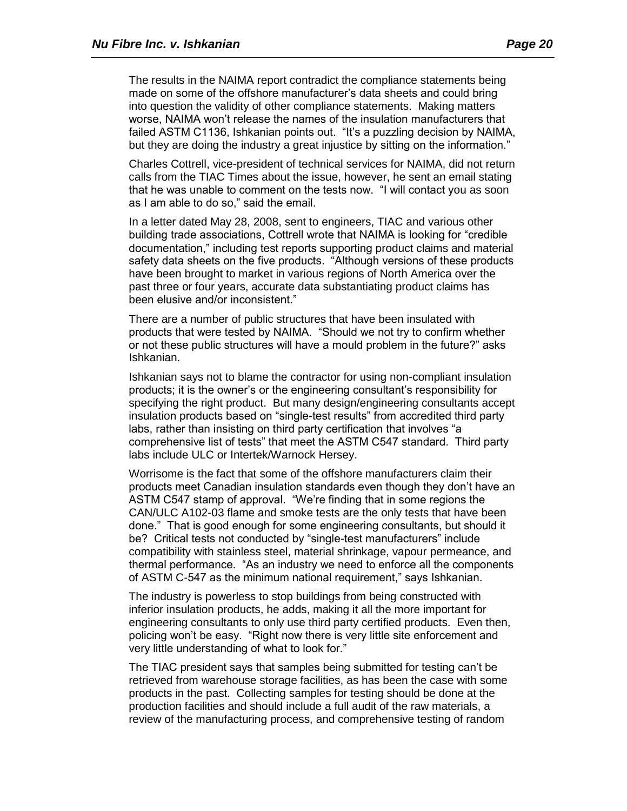The results in the NAIMA report contradict the compliance statements being made on some of the offshore manufacturer's data sheets and could bring into question the validity of other compliance statements. Making matters worse, NAIMA won't release the names of the insulation manufacturers that failed ASTM C1136, Ishkanian points out. "It's a puzzling decision by NAIMA, but they are doing the industry a great injustice by sitting on the information."

Charles Cottrell, vice-president of technical services for NAIMA, did not return calls from the TIAC Times about the issue, however, he sent an email stating that he was unable to comment on the tests now. "I will contact you as soon as I am able to do so," said the email.

In a letter dated May 28, 2008, sent to engineers, TIAC and various other building trade associations, Cottrell wrote that NAIMA is looking for "credible documentation," including test reports supporting product claims and material safety data sheets on the five products. "Although versions of these products have been brought to market in various regions of North America over the past three or four years, accurate data substantiating product claims has been elusive and/or inconsistent."

There are a number of public structures that have been insulated with products that were tested by NAIMA. "Should we not try to confirm whether or not these public structures will have a mould problem in the future?" asks Ishkanian.

Ishkanian says not to blame the contractor for using non-compliant insulation products; it is the owner's or the engineering consultant's responsibility for specifying the right product. But many design/engineering consultants accept insulation products based on "single-test results" from accredited third party labs, rather than insisting on third party certification that involves "a comprehensive list of tests" that meet the ASTM C547 standard. Third party labs include ULC or Intertek/Warnock Hersey.

Worrisome is the fact that some of the offshore manufacturers claim their products meet Canadian insulation standards even though they don't have an ASTM C547 stamp of approval. "We're finding that in some regions the CAN/ULC A102-03 flame and smoke tests are the only tests that have been done." That is good enough for some engineering consultants, but should it be? Critical tests not conducted by "single-test manufacturers" include compatibility with stainless steel, material shrinkage, vapour permeance, and thermal performance. "As an industry we need to enforce all the components of ASTM C-547 as the minimum national requirement," says Ishkanian.

The industry is powerless to stop buildings from being constructed with inferior insulation products, he adds, making it all the more important for engineering consultants to only use third party certified products. Even then, policing won't be easy. "Right now there is very little site enforcement and very little understanding of what to look for."

The TIAC president says that samples being submitted for testing can't be retrieved from warehouse storage facilities, as has been the case with some products in the past. Collecting samples for testing should be done at the production facilities and should include a full audit of the raw materials, a review of the manufacturing process, and comprehensive testing of random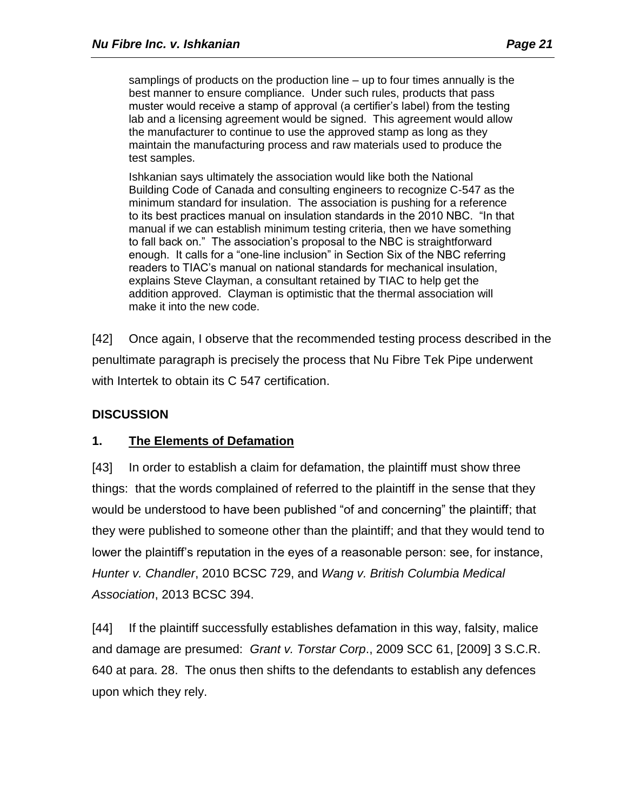samplings of products on the production line – up to four times annually is the best manner to ensure compliance. Under such rules, products that pass muster would receive a stamp of approval (a certifier's label) from the testing lab and a licensing agreement would be signed. This agreement would allow the manufacturer to continue to use the approved stamp as long as they maintain the manufacturing process and raw materials used to produce the test samples.

Ishkanian says ultimately the association would like both the National Building Code of Canada and consulting engineers to recognize C-547 as the minimum standard for insulation. The association is pushing for a reference to its best practices manual on insulation standards in the 2010 NBC. "In that manual if we can establish minimum testing criteria, then we have something to fall back on." The association's proposal to the NBC is straightforward enough. It calls for a "one-line inclusion" in Section Six of the NBC referring readers to TIAC's manual on national standards for mechanical insulation, explains Steve Clayman, a consultant retained by TIAC to help get the addition approved. Clayman is optimistic that the thermal association will make it into the new code.

[42] Once again, I observe that the recommended testing process described in the penultimate paragraph is precisely the process that Nu Fibre Tek Pipe underwent with Intertek to obtain its C 547 certification.

# **DISCUSSION**

# **1. The Elements of Defamation**

[43] In order to establish a claim for defamation, the plaintiff must show three things: that the words complained of referred to the plaintiff in the sense that they would be understood to have been published "of and concerning" the plaintiff; that they were published to someone other than the plaintiff; and that they would tend to lower the plaintiff's reputation in the eyes of a reasonable person: see, for instance, *Hunter v. Chandler*, 2010 BCSC 729, and *Wang v. British Columbia Medical Association*, 2013 BCSC 394.

[44] If the plaintiff successfully establishes defamation in this way, falsity, malice and damage are presumed: *Grant v. Torstar Corp*., 2009 SCC 61, [2009] 3 S.C.R. 640 at para. 28. The onus then shifts to the defendants to establish any defences upon which they rely.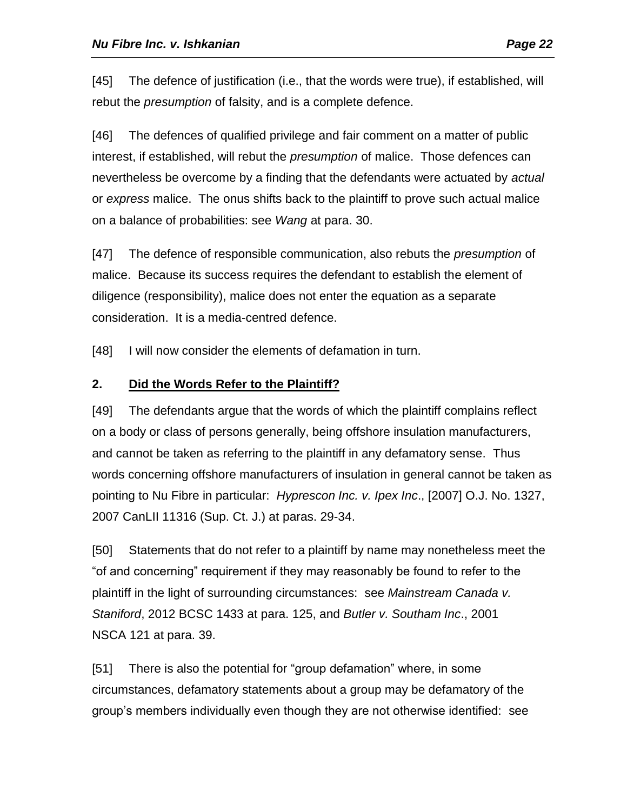[45] The defence of justification (i.e., that the words were true), if established, will rebut the *presumption* of falsity, and is a complete defence.

[46] The defences of qualified privilege and fair comment on a matter of public interest, if established, will rebut the *presumption* of malice. Those defences can nevertheless be overcome by a finding that the defendants were actuated by *actual* or *express* malice. The onus shifts back to the plaintiff to prove such actual malice on a balance of probabilities: see *Wang* at para. 30.

[47] The defence of responsible communication, also rebuts the *presumption* of malice. Because its success requires the defendant to establish the element of diligence (responsibility), malice does not enter the equation as a separate consideration. It is a media-centred defence.

[48] I will now consider the elements of defamation in turn.

# **2. Did the Words Refer to the Plaintiff?**

[49] The defendants argue that the words of which the plaintiff complains reflect on a body or class of persons generally, being offshore insulation manufacturers, and cannot be taken as referring to the plaintiff in any defamatory sense. Thus words concerning offshore manufacturers of insulation in general cannot be taken as pointing to Nu Fibre in particular: *Hyprescon Inc. v. Ipex Inc*., [2007] O.J. No. 1327, 2007 CanLII 11316 (Sup. Ct. J.) at paras. 29-34.

[50] Statements that do not refer to a plaintiff by name may nonetheless meet the "of and concerning" requirement if they may reasonably be found to refer to the plaintiff in the light of surrounding circumstances: see *Mainstream Canada v. Staniford*, 2012 BCSC 1433 at para. 125, and *Butler v. Southam Inc*., 2001 NSCA 121 at para. 39.

[51] There is also the potential for "group defamation" where, in some circumstances, defamatory statements about a group may be defamatory of the group's members individually even though they are not otherwise identified: see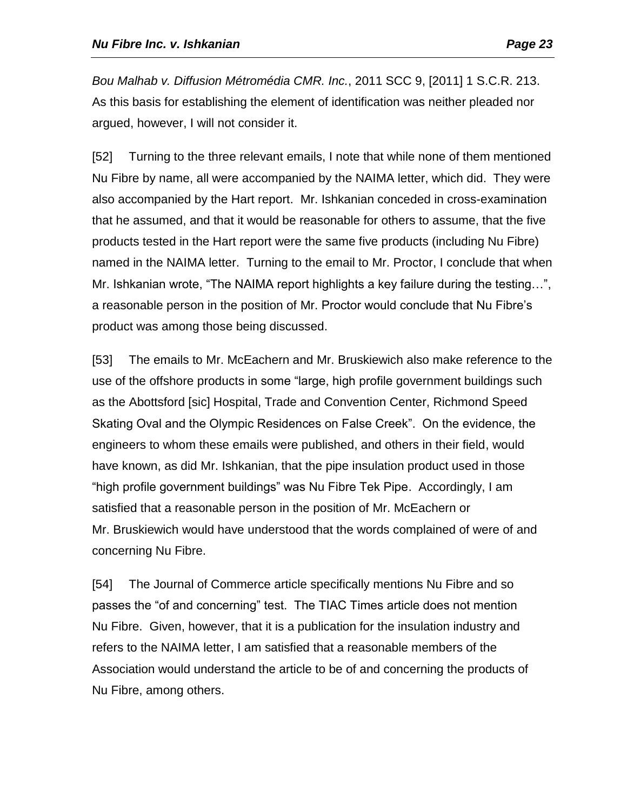*Bou Malhab v. Diffusion Métromédia CMR. Inc.*, 2011 SCC 9, [2011] 1 S.C.R. 213. As this basis for establishing the element of identification was neither pleaded nor argued, however, I will not consider it.

[52] Turning to the three relevant emails, I note that while none of them mentioned Nu Fibre by name, all were accompanied by the NAIMA letter, which did. They were also accompanied by the Hart report. Mr. Ishkanian conceded in cross-examination that he assumed, and that it would be reasonable for others to assume, that the five products tested in the Hart report were the same five products (including Nu Fibre) named in the NAIMA letter. Turning to the email to Mr. Proctor, I conclude that when Mr. Ishkanian wrote, "The NAIMA report highlights a key failure during the testing…", a reasonable person in the position of Mr. Proctor would conclude that Nu Fibre's product was among those being discussed.

[53] The emails to Mr. McEachern and Mr. Bruskiewich also make reference to the use of the offshore products in some "large, high profile government buildings such as the Abottsford [sic] Hospital, Trade and Convention Center, Richmond Speed Skating Oval and the Olympic Residences on False Creek". On the evidence, the engineers to whom these emails were published, and others in their field, would have known, as did Mr. Ishkanian, that the pipe insulation product used in those "high profile government buildings" was Nu Fibre Tek Pipe. Accordingly, I am satisfied that a reasonable person in the position of Mr. McEachern or Mr. Bruskiewich would have understood that the words complained of were of and concerning Nu Fibre.

[54] The Journal of Commerce article specifically mentions Nu Fibre and so passes the "of and concerning" test. The TIAC Times article does not mention Nu Fibre. Given, however, that it is a publication for the insulation industry and refers to the NAIMA letter, I am satisfied that a reasonable members of the Association would understand the article to be of and concerning the products of Nu Fibre, among others.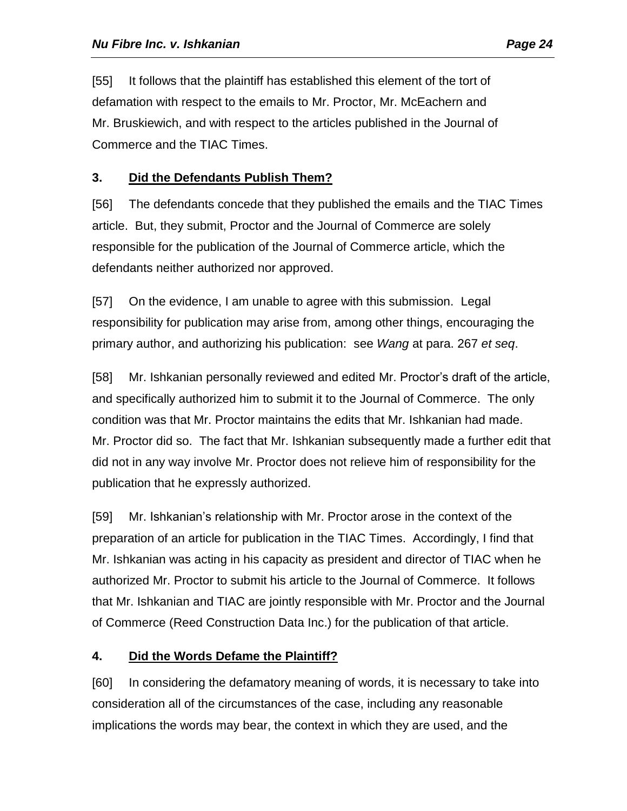[55] It follows that the plaintiff has established this element of the tort of defamation with respect to the emails to Mr. Proctor, Mr. McEachern and Mr. Bruskiewich, and with respect to the articles published in the Journal of Commerce and the TIAC Times.

# **3. Did the Defendants Publish Them?**

[56] The defendants concede that they published the emails and the TIAC Times article. But, they submit, Proctor and the Journal of Commerce are solely responsible for the publication of the Journal of Commerce article, which the defendants neither authorized nor approved.

[57] On the evidence, I am unable to agree with this submission. Legal responsibility for publication may arise from, among other things, encouraging the primary author, and authorizing his publication: see *Wang* at para. 267 *et seq*.

[58] Mr. Ishkanian personally reviewed and edited Mr. Proctor's draft of the article, and specifically authorized him to submit it to the Journal of Commerce. The only condition was that Mr. Proctor maintains the edits that Mr. Ishkanian had made. Mr. Proctor did so. The fact that Mr. Ishkanian subsequently made a further edit that did not in any way involve Mr. Proctor does not relieve him of responsibility for the publication that he expressly authorized.

[59] Mr. Ishkanian's relationship with Mr. Proctor arose in the context of the preparation of an article for publication in the TIAC Times. Accordingly, I find that Mr. Ishkanian was acting in his capacity as president and director of TIAC when he authorized Mr. Proctor to submit his article to the Journal of Commerce. It follows that Mr. Ishkanian and TIAC are jointly responsible with Mr. Proctor and the Journal of Commerce (Reed Construction Data Inc.) for the publication of that article.

# **4. Did the Words Defame the Plaintiff?**

[60] In considering the defamatory meaning of words, it is necessary to take into consideration all of the circumstances of the case, including any reasonable implications the words may bear, the context in which they are used, and the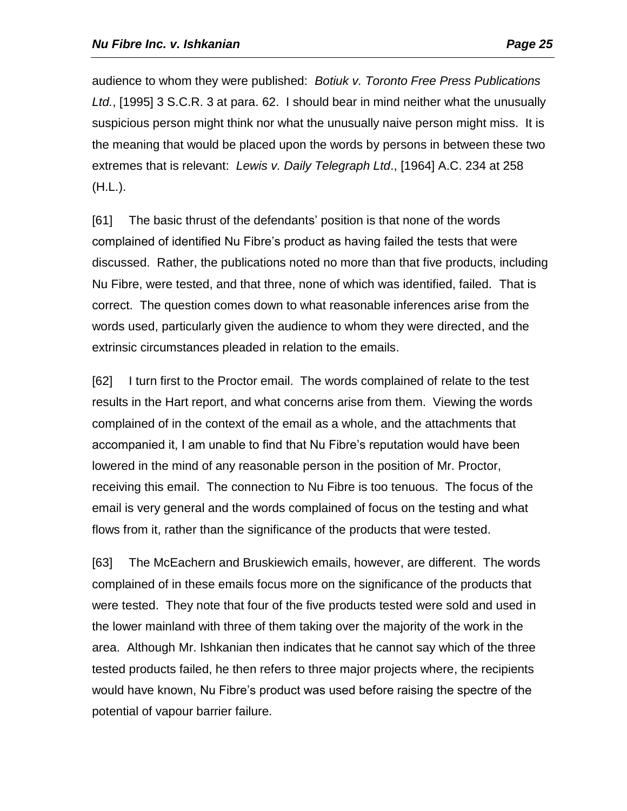audience to whom they were published: *Botiuk v. Toronto Free Press Publications Ltd.*, [1995] 3 S.C.R. 3 at para. 62. I should bear in mind neither what the unusually suspicious person might think nor what the unusually naive person might miss. It is the meaning that would be placed upon the words by persons in between these two extremes that is relevant: *Lewis v. Daily Telegraph Ltd*., [1964] A.C. 234 at 258 (H.L.).

[61] The basic thrust of the defendants' position is that none of the words complained of identified Nu Fibre's product as having failed the tests that were discussed. Rather, the publications noted no more than that five products, including Nu Fibre, were tested, and that three, none of which was identified, failed. That is correct. The question comes down to what reasonable inferences arise from the words used, particularly given the audience to whom they were directed, and the extrinsic circumstances pleaded in relation to the emails.

[62] I turn first to the Proctor email. The words complained of relate to the test results in the Hart report, and what concerns arise from them. Viewing the words complained of in the context of the email as a whole, and the attachments that accompanied it, I am unable to find that Nu Fibre's reputation would have been lowered in the mind of any reasonable person in the position of Mr. Proctor, receiving this email. The connection to Nu Fibre is too tenuous. The focus of the email is very general and the words complained of focus on the testing and what flows from it, rather than the significance of the products that were tested.

[63] The McEachern and Bruskiewich emails, however, are different. The words complained of in these emails focus more on the significance of the products that were tested. They note that four of the five products tested were sold and used in the lower mainland with three of them taking over the majority of the work in the area. Although Mr. Ishkanian then indicates that he cannot say which of the three tested products failed, he then refers to three major projects where, the recipients would have known, Nu Fibre's product was used before raising the spectre of the potential of vapour barrier failure.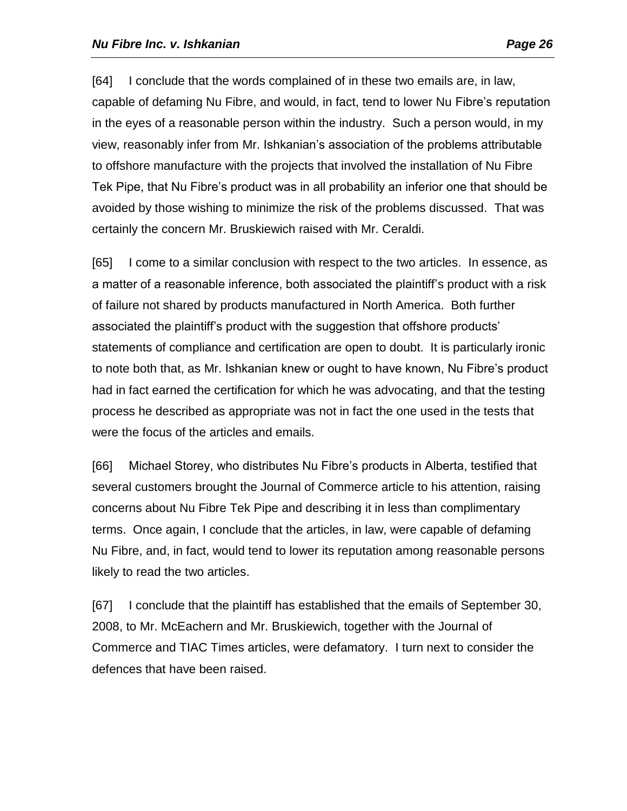[64] I conclude that the words complained of in these two emails are, in law, capable of defaming Nu Fibre, and would, in fact, tend to lower Nu Fibre's reputation in the eyes of a reasonable person within the industry. Such a person would, in my view, reasonably infer from Mr. Ishkanian's association of the problems attributable to offshore manufacture with the projects that involved the installation of Nu Fibre Tek Pipe, that Nu Fibre's product was in all probability an inferior one that should be avoided by those wishing to minimize the risk of the problems discussed. That was certainly the concern Mr. Bruskiewich raised with Mr. Ceraldi.

[65] I come to a similar conclusion with respect to the two articles. In essence, as a matter of a reasonable inference, both associated the plaintiff's product with a risk of failure not shared by products manufactured in North America. Both further associated the plaintiff's product with the suggestion that offshore products' statements of compliance and certification are open to doubt. It is particularly ironic to note both that, as Mr. Ishkanian knew or ought to have known, Nu Fibre's product had in fact earned the certification for which he was advocating, and that the testing process he described as appropriate was not in fact the one used in the tests that were the focus of the articles and emails.

[66] Michael Storey, who distributes Nu Fibre's products in Alberta, testified that several customers brought the Journal of Commerce article to his attention, raising concerns about Nu Fibre Tek Pipe and describing it in less than complimentary terms. Once again, I conclude that the articles, in law, were capable of defaming Nu Fibre, and, in fact, would tend to lower its reputation among reasonable persons likely to read the two articles.

[67] I conclude that the plaintiff has established that the emails of September 30, 2008, to Mr. McEachern and Mr. Bruskiewich, together with the Journal of Commerce and TIAC Times articles, were defamatory. I turn next to consider the defences that have been raised.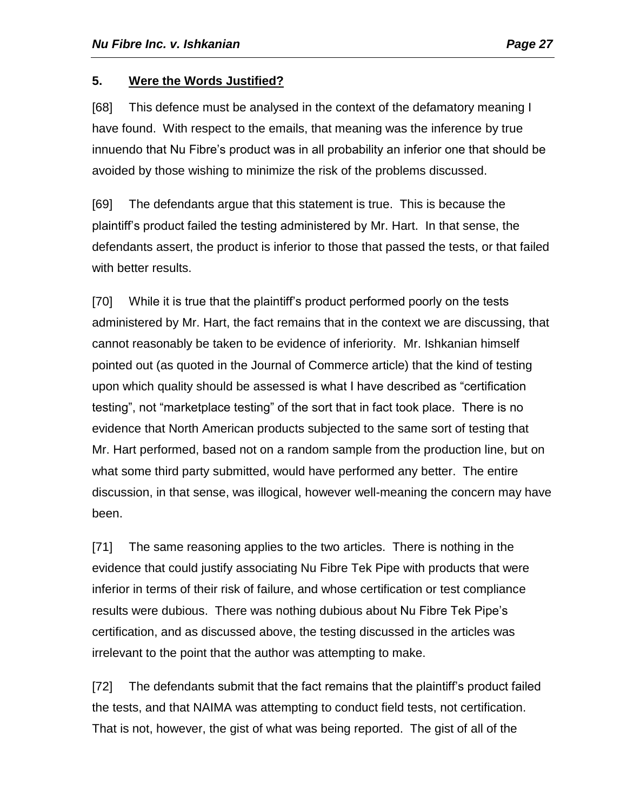# **5. Were the Words Justified?**

[68] This defence must be analysed in the context of the defamatory meaning I have found. With respect to the emails, that meaning was the inference by true innuendo that Nu Fibre's product was in all probability an inferior one that should be avoided by those wishing to minimize the risk of the problems discussed.

[69] The defendants argue that this statement is true. This is because the plaintiff's product failed the testing administered by Mr. Hart. In that sense, the defendants assert, the product is inferior to those that passed the tests, or that failed with better results.

[70] While it is true that the plaintiff's product performed poorly on the tests administered by Mr. Hart, the fact remains that in the context we are discussing, that cannot reasonably be taken to be evidence of inferiority. Mr. Ishkanian himself pointed out (as quoted in the Journal of Commerce article) that the kind of testing upon which quality should be assessed is what I have described as "certification testing", not "marketplace testing" of the sort that in fact took place. There is no evidence that North American products subjected to the same sort of testing that Mr. Hart performed, based not on a random sample from the production line, but on what some third party submitted, would have performed any better. The entire discussion, in that sense, was illogical, however well-meaning the concern may have been.

[71] The same reasoning applies to the two articles. There is nothing in the evidence that could justify associating Nu Fibre Tek Pipe with products that were inferior in terms of their risk of failure, and whose certification or test compliance results were dubious. There was nothing dubious about Nu Fibre Tek Pipe's certification, and as discussed above, the testing discussed in the articles was irrelevant to the point that the author was attempting to make.

[72] The defendants submit that the fact remains that the plaintiff's product failed the tests, and that NAIMA was attempting to conduct field tests, not certification. That is not, however, the gist of what was being reported. The gist of all of the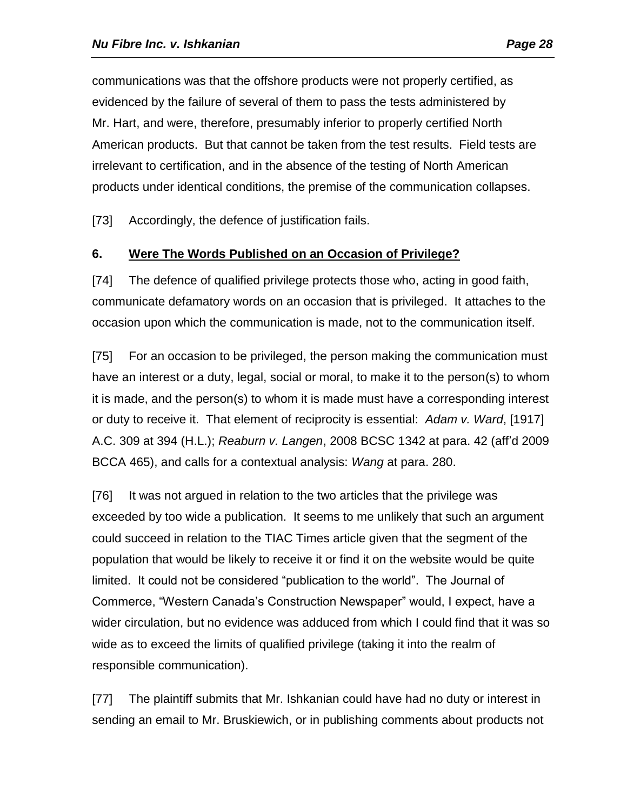communications was that the offshore products were not properly certified, as evidenced by the failure of several of them to pass the tests administered by Mr. Hart, and were, therefore, presumably inferior to properly certified North American products. But that cannot be taken from the test results. Field tests are irrelevant to certification, and in the absence of the testing of North American products under identical conditions, the premise of the communication collapses.

[73] Accordingly, the defence of justification fails.

# **6. Were The Words Published on an Occasion of Privilege?**

[74] The defence of qualified privilege protects those who, acting in good faith, communicate defamatory words on an occasion that is privileged. It attaches to the occasion upon which the communication is made, not to the communication itself.

[75] For an occasion to be privileged, the person making the communication must have an interest or a duty, legal, social or moral, to make it to the person(s) to whom it is made, and the person(s) to whom it is made must have a corresponding interest or duty to receive it. That element of reciprocity is essential: *Adam v. Ward*, [1917] A.C. 309 at 394 (H.L.); *Reaburn v. Langen*, 2008 BCSC 1342 at para. 42 (aff'd 2009 BCCA 465), and calls for a contextual analysis: *Wang* at para. 280.

[76] It was not argued in relation to the two articles that the privilege was exceeded by too wide a publication. It seems to me unlikely that such an argument could succeed in relation to the TIAC Times article given that the segment of the population that would be likely to receive it or find it on the website would be quite limited. It could not be considered "publication to the world". The Journal of Commerce, "Western Canada's Construction Newspaper" would, I expect, have a wider circulation, but no evidence was adduced from which I could find that it was so wide as to exceed the limits of qualified privilege (taking it into the realm of responsible communication).

[77] The plaintiff submits that Mr. Ishkanian could have had no duty or interest in sending an email to Mr. Bruskiewich, or in publishing comments about products not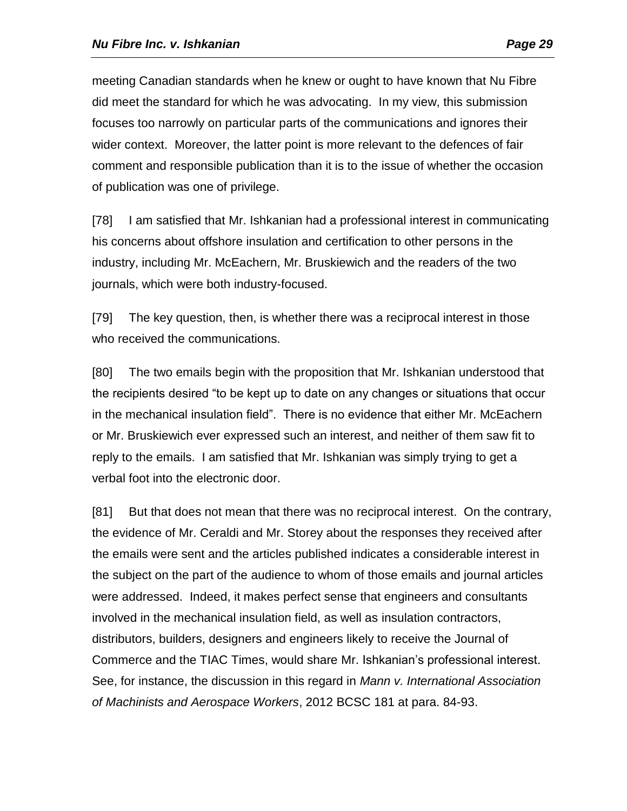meeting Canadian standards when he knew or ought to have known that Nu Fibre did meet the standard for which he was advocating. In my view, this submission focuses too narrowly on particular parts of the communications and ignores their wider context. Moreover, the latter point is more relevant to the defences of fair comment and responsible publication than it is to the issue of whether the occasion of publication was one of privilege.

[78] I am satisfied that Mr. Ishkanian had a professional interest in communicating his concerns about offshore insulation and certification to other persons in the industry, including Mr. McEachern, Mr. Bruskiewich and the readers of the two journals, which were both industry-focused.

[79] The key question, then, is whether there was a reciprocal interest in those who received the communications.

[80] The two emails begin with the proposition that Mr. Ishkanian understood that the recipients desired "to be kept up to date on any changes or situations that occur in the mechanical insulation field". There is no evidence that either Mr. McEachern or Mr. Bruskiewich ever expressed such an interest, and neither of them saw fit to reply to the emails. I am satisfied that Mr. Ishkanian was simply trying to get a verbal foot into the electronic door.

[81] But that does not mean that there was no reciprocal interest. On the contrary, the evidence of Mr. Ceraldi and Mr. Storey about the responses they received after the emails were sent and the articles published indicates a considerable interest in the subject on the part of the audience to whom of those emails and journal articles were addressed. Indeed, it makes perfect sense that engineers and consultants involved in the mechanical insulation field, as well as insulation contractors, distributors, builders, designers and engineers likely to receive the Journal of Commerce and the TIAC Times, would share Mr. Ishkanian's professional interest. See, for instance, the discussion in this regard in *Mann v. International Association of Machinists and Aerospace Workers*, 2012 BCSC 181 at para. 84-93.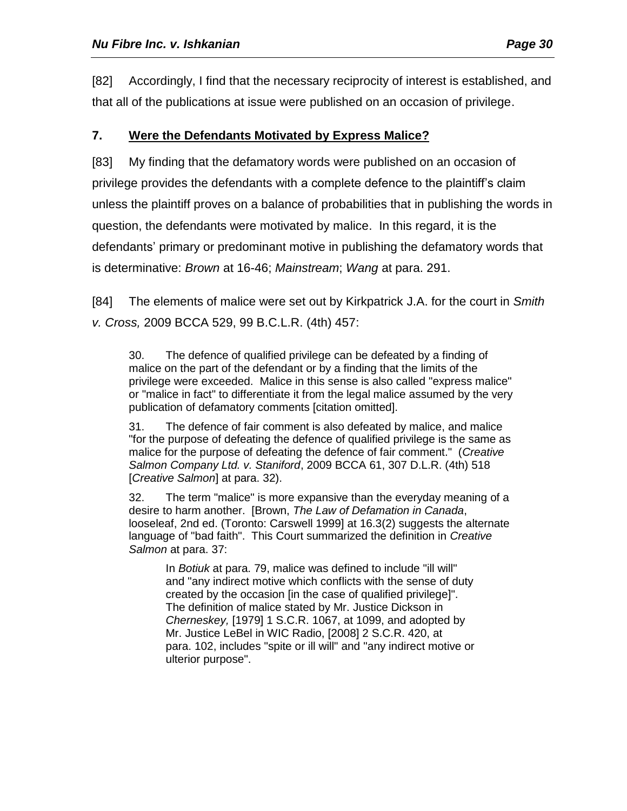[82] Accordingly, I find that the necessary reciprocity of interest is established, and that all of the publications at issue were published on an occasion of privilege.

# **7. Were the Defendants Motivated by Express Malice?**

[83] My finding that the defamatory words were published on an occasion of privilege provides the defendants with a complete defence to the plaintiff's claim unless the plaintiff proves on a balance of probabilities that in publishing the words in question, the defendants were motivated by malice. In this regard, it is the defendants' primary or predominant motive in publishing the defamatory words that is determinative: *Brown* at 16-46; *Mainstream*; *Wang* at para. 291.

[84] The elements of malice were set out by Kirkpatrick J.A. for the court in *Smith v. Cross,* 2009 BCCA 529, 99 B.C.L.R. (4th) 457:

30. The defence of qualified privilege can be defeated by a finding of malice on the part of the defendant or by a finding that the limits of the privilege were exceeded. Malice in this sense is also called "express malice" or "malice in fact" to differentiate it from the legal malice assumed by the very publication of defamatory comments [citation omitted].

31. The defence of fair comment is also defeated by malice, and malice "for the purpose of defeating the defence of qualified privilege is the same as malice for the purpose of defeating the defence of fair comment." (*Creative Salmon Company Ltd. v. Staniford*, 2009 BCCA 61, 307 D.L.R. (4th) 518 [*Creative Salmon*] at para. 32).

32. The term "malice" is more expansive than the everyday meaning of a desire to harm another. [Brown, *The Law of Defamation in Canada*, looseleaf, 2nd ed. (Toronto: Carswell 1999] at 16.3(2) suggests the alternate language of "bad faith". This Court summarized the definition in *Creative Salmon* at para. 37:

In *Botiuk* at para. 79, malice was defined to include "ill will" and "any indirect motive which conflicts with the sense of duty created by the occasion [in the case of qualified privilege]". The definition of malice stated by Mr. Justice Dickson in *Cherneskey,* [1979] 1 S.C.R. 1067, at 1099, and adopted by Mr. Justice LeBel in WIC Radio, [2008] 2 S.C.R. 420, at para. 102, includes "spite or ill will" and "any indirect motive or ulterior purpose".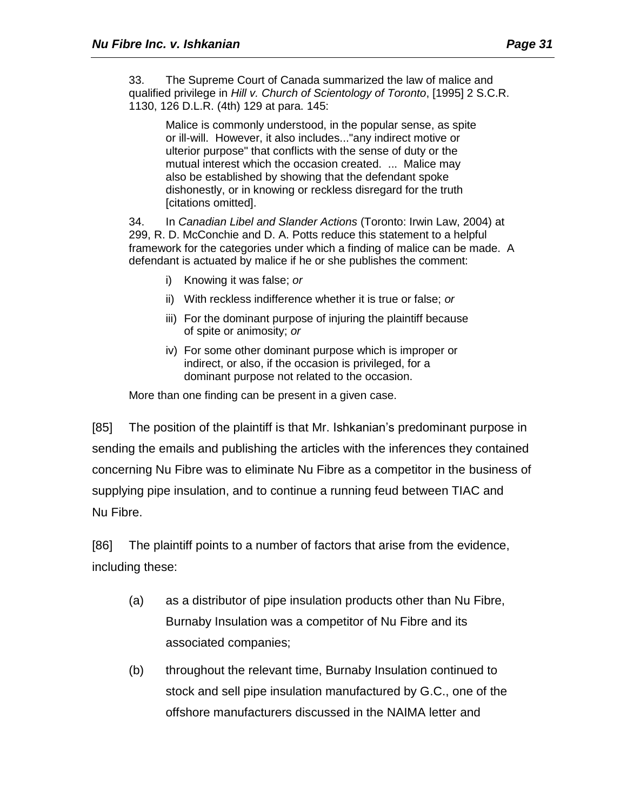33. The Supreme Court of Canada summarized the law of malice and qualified privilege in *Hill v. Church of Scientology of Toronto*, [1995] 2 S.C.R. 1130, 126 D.L.R. (4th) 129 at para. 145:

Malice is commonly understood, in the popular sense, as spite or ill-will. However, it also includes..."any indirect motive or ulterior purpose" that conflicts with the sense of duty or the mutual interest which the occasion created. ... Malice may also be established by showing that the defendant spoke dishonestly, or in knowing or reckless disregard for the truth [citations omitted].

34. In *Canadian Libel and Slander Actions* (Toronto: Irwin Law, 2004) at 299, R. D. McConchie and D. A. Potts reduce this statement to a helpful framework for the categories under which a finding of malice can be made. A defendant is actuated by malice if he or she publishes the comment:

- i) Knowing it was false; *or*
- ii) With reckless indifference whether it is true or false; *or*
- iii) For the dominant purpose of injuring the plaintiff because of spite or animosity; *or*
- iv) For some other dominant purpose which is improper or indirect, or also, if the occasion is privileged, for a dominant purpose not related to the occasion.

More than one finding can be present in a given case.

[85] The position of the plaintiff is that Mr. Ishkanian's predominant purpose in sending the emails and publishing the articles with the inferences they contained concerning Nu Fibre was to eliminate Nu Fibre as a competitor in the business of supplying pipe insulation, and to continue a running feud between TIAC and Nu Fibre.

[86] The plaintiff points to a number of factors that arise from the evidence, including these:

- (a) as a distributor of pipe insulation products other than Nu Fibre, Burnaby Insulation was a competitor of Nu Fibre and its associated companies;
- (b) throughout the relevant time, Burnaby Insulation continued to stock and sell pipe insulation manufactured by G.C., one of the offshore manufacturers discussed in the NAIMA letter and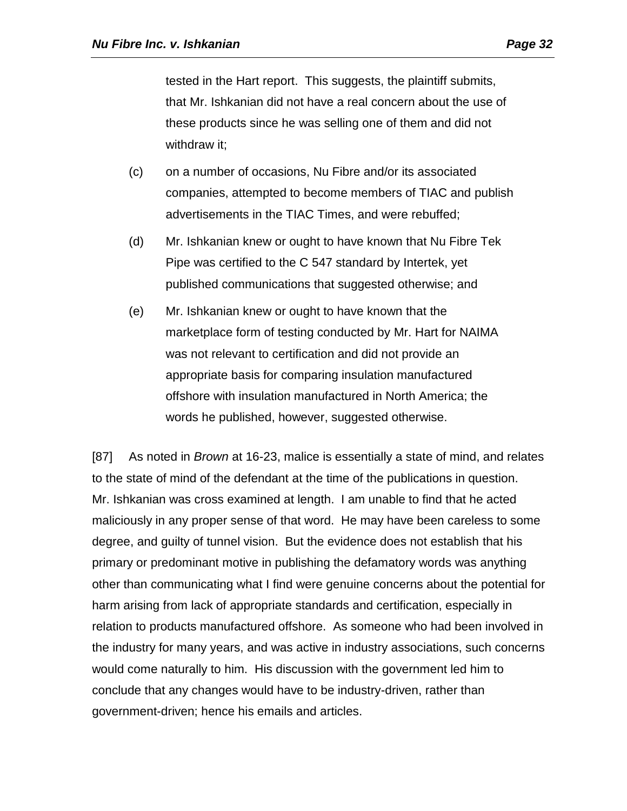tested in the Hart report. This suggests, the plaintiff submits, that Mr. Ishkanian did not have a real concern about the use of these products since he was selling one of them and did not withdraw it;

- (c) on a number of occasions, Nu Fibre and/or its associated companies, attempted to become members of TIAC and publish advertisements in the TIAC Times, and were rebuffed;
- (d) Mr. Ishkanian knew or ought to have known that Nu Fibre Tek Pipe was certified to the C 547 standard by Intertek, yet published communications that suggested otherwise; and
- (e) Mr. Ishkanian knew or ought to have known that the marketplace form of testing conducted by Mr. Hart for NAIMA was not relevant to certification and did not provide an appropriate basis for comparing insulation manufactured offshore with insulation manufactured in North America; the words he published, however, suggested otherwise.

[87] As noted in *Brown* at 16-23, malice is essentially a state of mind, and relates to the state of mind of the defendant at the time of the publications in question. Mr. Ishkanian was cross examined at length. I am unable to find that he acted maliciously in any proper sense of that word. He may have been careless to some degree, and guilty of tunnel vision. But the evidence does not establish that his primary or predominant motive in publishing the defamatory words was anything other than communicating what I find were genuine concerns about the potential for harm arising from lack of appropriate standards and certification, especially in relation to products manufactured offshore. As someone who had been involved in the industry for many years, and was active in industry associations, such concerns would come naturally to him. His discussion with the government led him to conclude that any changes would have to be industry-driven, rather than government-driven; hence his emails and articles.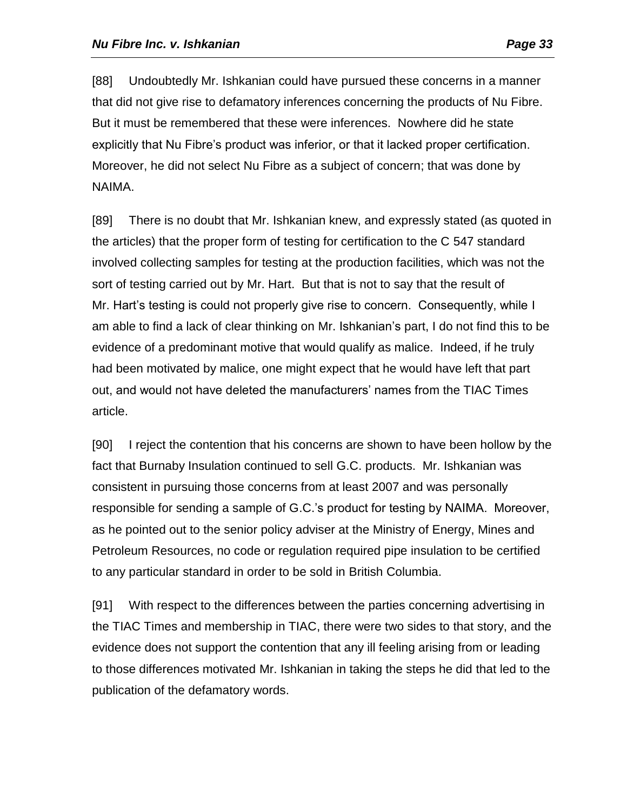[88] Undoubtedly Mr. Ishkanian could have pursued these concerns in a manner that did not give rise to defamatory inferences concerning the products of Nu Fibre. But it must be remembered that these were inferences. Nowhere did he state explicitly that Nu Fibre's product was inferior, or that it lacked proper certification. Moreover, he did not select Nu Fibre as a subject of concern; that was done by NAIMA.

[89] There is no doubt that Mr. Ishkanian knew, and expressly stated (as quoted in the articles) that the proper form of testing for certification to the C 547 standard involved collecting samples for testing at the production facilities, which was not the sort of testing carried out by Mr. Hart. But that is not to say that the result of Mr. Hart's testing is could not properly give rise to concern. Consequently, while I am able to find a lack of clear thinking on Mr. Ishkanian's part, I do not find this to be evidence of a predominant motive that would qualify as malice. Indeed, if he truly had been motivated by malice, one might expect that he would have left that part out, and would not have deleted the manufacturers' names from the TIAC Times article.

[90] I reject the contention that his concerns are shown to have been hollow by the fact that Burnaby Insulation continued to sell G.C. products. Mr. Ishkanian was consistent in pursuing those concerns from at least 2007 and was personally responsible for sending a sample of G.C.'s product for testing by NAIMA. Moreover, as he pointed out to the senior policy adviser at the Ministry of Energy, Mines and Petroleum Resources, no code or regulation required pipe insulation to be certified to any particular standard in order to be sold in British Columbia.

[91] With respect to the differences between the parties concerning advertising in the TIAC Times and membership in TIAC, there were two sides to that story, and the evidence does not support the contention that any ill feeling arising from or leading to those differences motivated Mr. Ishkanian in taking the steps he did that led to the publication of the defamatory words.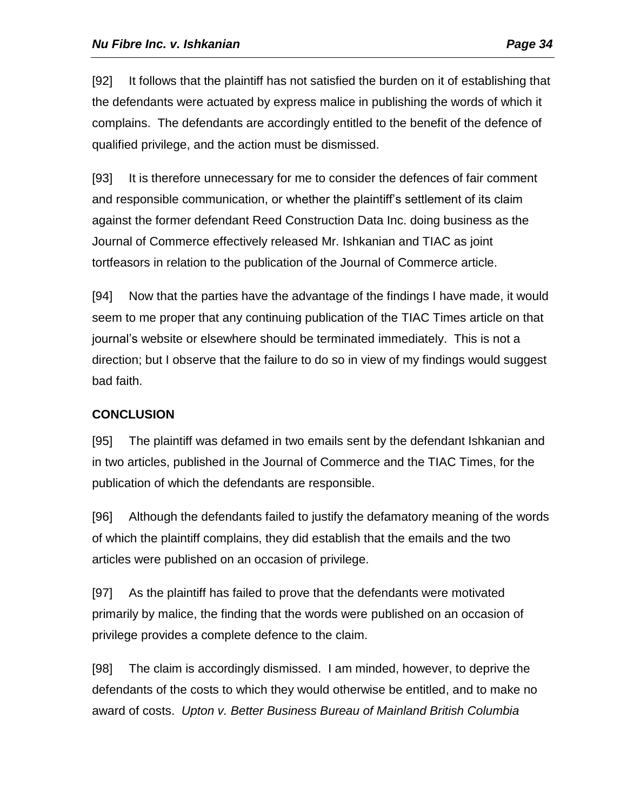[92] It follows that the plaintiff has not satisfied the burden on it of establishing that the defendants were actuated by express malice in publishing the words of which it complains. The defendants are accordingly entitled to the benefit of the defence of qualified privilege, and the action must be dismissed.

[93] It is therefore unnecessary for me to consider the defences of fair comment and responsible communication, or whether the plaintiff's settlement of its claim against the former defendant Reed Construction Data Inc. doing business as the Journal of Commerce effectively released Mr. Ishkanian and TIAC as joint tortfeasors in relation to the publication of the Journal of Commerce article.

[94] Now that the parties have the advantage of the findings I have made, it would seem to me proper that any continuing publication of the TIAC Times article on that journal's website or elsewhere should be terminated immediately. This is not a direction; but I observe that the failure to do so in view of my findings would suggest bad faith.

# **CONCLUSION**

[95] The plaintiff was defamed in two emails sent by the defendant Ishkanian and in two articles, published in the Journal of Commerce and the TIAC Times, for the publication of which the defendants are responsible.

[96] Although the defendants failed to justify the defamatory meaning of the words of which the plaintiff complains, they did establish that the emails and the two articles were published on an occasion of privilege.

[97] As the plaintiff has failed to prove that the defendants were motivated primarily by malice, the finding that the words were published on an occasion of privilege provides a complete defence to the claim.

[98] The claim is accordingly dismissed. I am minded, however, to deprive the defendants of the costs to which they would otherwise be entitled, and to make no award of costs. *Upton v. Better Business Bureau of Mainland British Columbia*